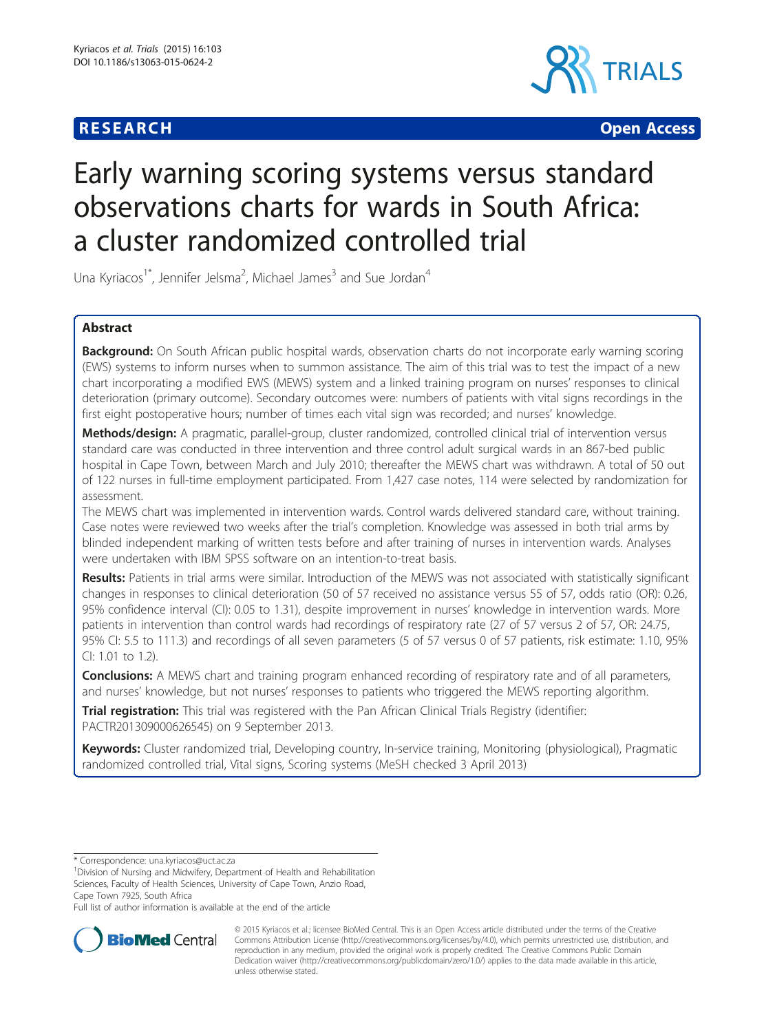## **RESEARCH CHE CHE Open Access**



# Early warning scoring systems versus standard observations charts for wards in South Africa: a cluster randomized controlled trial

Una Kyriacos<sup>1\*</sup>, Jennifer Jelsma<sup>2</sup>, Michael James<sup>3</sup> and Sue Jordan<sup>4</sup>

### Abstract

Background: On South African public hospital wards, observation charts do not incorporate early warning scoring (EWS) systems to inform nurses when to summon assistance. The aim of this trial was to test the impact of a new chart incorporating a modified EWS (MEWS) system and a linked training program on nurses' responses to clinical deterioration (primary outcome). Secondary outcomes were: numbers of patients with vital signs recordings in the first eight postoperative hours; number of times each vital sign was recorded; and nurses' knowledge.

Methods/design: A pragmatic, parallel-group, cluster randomized, controlled clinical trial of intervention versus standard care was conducted in three intervention and three control adult surgical wards in an 867-bed public hospital in Cape Town, between March and July 2010; thereafter the MEWS chart was withdrawn. A total of 50 out of 122 nurses in full-time employment participated. From 1,427 case notes, 114 were selected by randomization for assessment.

The MEWS chart was implemented in intervention wards. Control wards delivered standard care, without training. Case notes were reviewed two weeks after the trial's completion. Knowledge was assessed in both trial arms by blinded independent marking of written tests before and after training of nurses in intervention wards. Analyses were undertaken with IBM SPSS software on an intention-to-treat basis.

Results: Patients in trial arms were similar. Introduction of the MEWS was not associated with statistically significant changes in responses to clinical deterioration (50 of 57 received no assistance versus 55 of 57, odds ratio (OR): 0.26, 95% confidence interval (CI): 0.05 to 1.31), despite improvement in nurses' knowledge in intervention wards. More patients in intervention than control wards had recordings of respiratory rate (27 of 57 versus 2 of 57, OR: 24.75, 95% CI: 5.5 to 111.3) and recordings of all seven parameters (5 of 57 versus 0 of 57 patients, risk estimate: 1.10, 95% CI: 1.01 to 1.2).

**Conclusions:** A MEWS chart and training program enhanced recording of respiratory rate and of all parameters, and nurses' knowledge, but not nurses' responses to patients who triggered the MEWS reporting algorithm.

Trial registration: This trial was registered with the Pan African Clinical Trials Registry (identifier: [PACTR201309000626545](http://www.pactr.org/ATMWeb/appmanager/atm/atmregistry?_nfpb=true&_windowLabel=trialViewer_1_2&trialViewer_1_2_actionOverride=%2Fpageflows%2Ftrial%2FtrialViewer%2FviewTrail&trialViewer_1_2id=626)) on 9 September 2013.

Keywords: Cluster randomized trial, Developing country, In-service training, Monitoring (physiological), Pragmatic randomized controlled trial, Vital signs, Scoring systems (MeSH checked 3 April 2013)

\* Correspondence: [una.kyriacos@uct.ac.za](mailto:una.kyriacos@uct.ac.za) <sup>1</sup>

<sup>1</sup> Division of Nursing and Midwifery, Department of Health and Rehabilitation Sciences, Faculty of Health Sciences, University of Cape Town, Anzio Road, Cape Town 7925, South Africa

Full list of author information is available at the end of the article



© 2015 Kyriacos et al.; licensee BioMed Central. This is an Open Access article distributed under the terms of the Creative Commons Attribution License [\(http://creativecommons.org/licenses/by/4.0\)](http://creativecommons.org/licenses/by/4.0), which permits unrestricted use, distribution, and reproduction in any medium, provided the original work is properly credited. The Creative Commons Public Domain Dedication waiver [\(http://creativecommons.org/publicdomain/zero/1.0/](http://creativecommons.org/publicdomain/zero/1.0/)) applies to the data made available in this article, unless otherwise stated.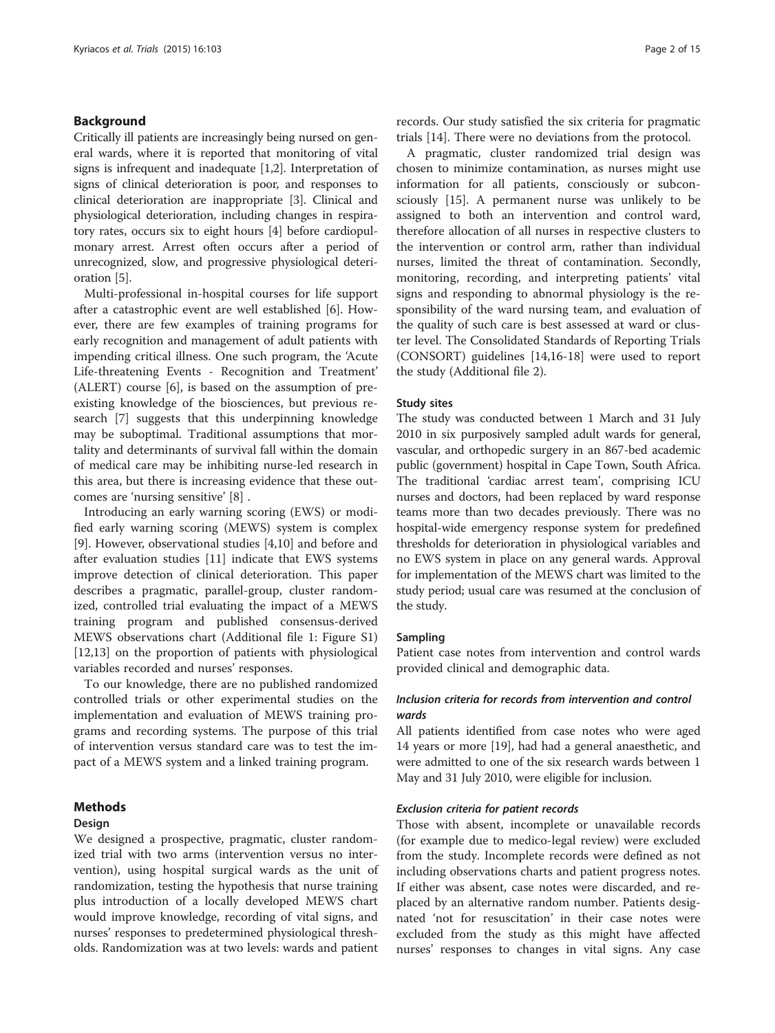### Background

Critically ill patients are increasingly being nursed on general wards, where it is reported that monitoring of vital signs is infrequent and inadequate [\[1,2\]](#page-13-0). Interpretation of signs of clinical deterioration is poor, and responses to clinical deterioration are inappropriate [\[3](#page-13-0)]. Clinical and physiological deterioration, including changes in respiratory rates, occurs six to eight hours [\[4](#page-13-0)] before cardiopulmonary arrest. Arrest often occurs after a period of unrecognized, slow, and progressive physiological deterioration [\[5](#page-13-0)].

Multi-professional in-hospital courses for life support after a catastrophic event are well established [[6](#page-13-0)]. However, there are few examples of training programs for early recognition and management of adult patients with impending critical illness. One such program, the 'Acute Life-threatening Events - Recognition and Treatment' (ALERT) course [[6](#page-13-0)], is based on the assumption of preexisting knowledge of the biosciences, but previous research [\[7](#page-13-0)] suggests that this underpinning knowledge may be suboptimal. Traditional assumptions that mortality and determinants of survival fall within the domain of medical care may be inhibiting nurse-led research in this area, but there is increasing evidence that these outcomes are 'nursing sensitive' [\[8](#page-13-0)] .

Introducing an early warning scoring (EWS) or modified early warning scoring (MEWS) system is complex [[9\]](#page-13-0). However, observational studies [[4,10\]](#page-13-0) and before and after evaluation studies [[11\]](#page-13-0) indicate that EWS systems improve detection of clinical deterioration. This paper describes a pragmatic, parallel-group, cluster randomized, controlled trial evaluating the impact of a MEWS training program and published consensus-derived MEWS observations chart (Additional file [1:](#page-12-0) Figure S1) [[12,13\]](#page-13-0) on the proportion of patients with physiological variables recorded and nurses' responses.

To our knowledge, there are no published randomized controlled trials or other experimental studies on the implementation and evaluation of MEWS training programs and recording systems. The purpose of this trial of intervention versus standard care was to test the impact of a MEWS system and a linked training program.

### **Methods**

#### Design

We designed a prospective, pragmatic, cluster randomized trial with two arms (intervention versus no intervention), using hospital surgical wards as the unit of randomization, testing the hypothesis that nurse training plus introduction of a locally developed MEWS chart would improve knowledge, recording of vital signs, and nurses' responses to predetermined physiological thresholds. Randomization was at two levels: wards and patient records. Our study satisfied the six criteria for pragmatic trials [[14\]](#page-13-0). There were no deviations from the protocol.

A pragmatic, cluster randomized trial design was chosen to minimize contamination, as nurses might use information for all patients, consciously or subconsciously [\[15](#page-13-0)]. A permanent nurse was unlikely to be assigned to both an intervention and control ward, therefore allocation of all nurses in respective clusters to the intervention or control arm, rather than individual nurses, limited the threat of contamination. Secondly, monitoring, recording, and interpreting patients' vital signs and responding to abnormal physiology is the responsibility of the ward nursing team, and evaluation of the quality of such care is best assessed at ward or cluster level. The Consolidated Standards of Reporting Trials (CONSORT) guidelines [\[14,16-18](#page-13-0)] were used to report the study (Additional file [2\)](#page-12-0).

### Study sites

The study was conducted between 1 March and 31 July 2010 in six purposively sampled adult wards for general, vascular, and orthopedic surgery in an 867-bed academic public (government) hospital in Cape Town, South Africa. The traditional 'cardiac arrest team', comprising ICU nurses and doctors, had been replaced by ward response teams more than two decades previously. There was no hospital-wide emergency response system for predefined thresholds for deterioration in physiological variables and no EWS system in place on any general wards. Approval for implementation of the MEWS chart was limited to the study period; usual care was resumed at the conclusion of the study.

#### Sampling

Patient case notes from intervention and control wards provided clinical and demographic data.

### Inclusion criteria for records from intervention and control wards

All patients identified from case notes who were aged 14 years or more [\[19\]](#page-13-0), had had a general anaesthetic, and were admitted to one of the six research wards between 1 May and 31 July 2010, were eligible for inclusion.

#### Exclusion criteria for patient records

Those with absent, incomplete or unavailable records (for example due to medico-legal review) were excluded from the study. Incomplete records were defined as not including observations charts and patient progress notes. If either was absent, case notes were discarded, and replaced by an alternative random number. Patients designated 'not for resuscitation' in their case notes were excluded from the study as this might have affected nurses' responses to changes in vital signs. Any case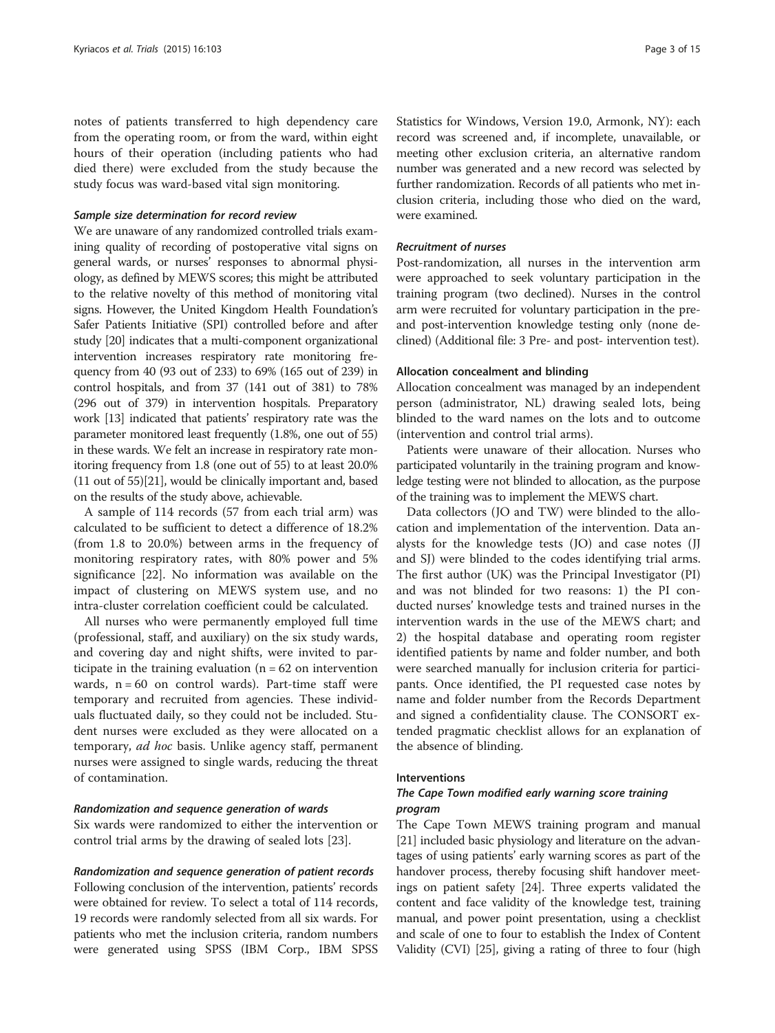notes of patients transferred to high dependency care from the operating room, or from the ward, within eight hours of their operation (including patients who had died there) were excluded from the study because the study focus was ward-based vital sign monitoring.

#### Sample size determination for record review

We are unaware of any randomized controlled trials examining quality of recording of postoperative vital signs on general wards, or nurses' responses to abnormal physiology, as defined by MEWS scores; this might be attributed to the relative novelty of this method of monitoring vital signs. However, the United Kingdom Health Foundation's Safer Patients Initiative (SPI) controlled before and after study [[20](#page-13-0)] indicates that a multi-component organizational intervention increases respiratory rate monitoring frequency from 40 (93 out of 233) to 69% (165 out of 239) in control hospitals, and from 37 (141 out of 381) to 78% (296 out of 379) in intervention hospitals. Preparatory work [\[13\]](#page-13-0) indicated that patients' respiratory rate was the parameter monitored least frequently (1.8%, one out of 55) in these wards. We felt an increase in respiratory rate monitoring frequency from 1.8 (one out of 55) to at least 20.0% (11 out of 55)[[21](#page-13-0)], would be clinically important and, based on the results of the study above, achievable.

A sample of 114 records (57 from each trial arm) was calculated to be sufficient to detect a difference of 18.2% (from 1.8 to 20.0%) between arms in the frequency of monitoring respiratory rates, with 80% power and 5% significance [\[22\]](#page-13-0). No information was available on the impact of clustering on MEWS system use, and no intra-cluster correlation coefficient could be calculated.

All nurses who were permanently employed full time (professional, staff, and auxiliary) on the six study wards, and covering day and night shifts, were invited to participate in the training evaluation ( $n = 62$  on intervention wards,  $n = 60$  on control wards). Part-time staff were temporary and recruited from agencies. These individuals fluctuated daily, so they could not be included. Student nurses were excluded as they were allocated on a temporary, ad hoc basis. Unlike agency staff, permanent nurses were assigned to single wards, reducing the threat of contamination.

#### Randomization and sequence generation of wards

Six wards were randomized to either the intervention or control trial arms by the drawing of sealed lots [[23\]](#page-13-0).

### Randomization and sequence generation of patient records

Following conclusion of the intervention, patients' records were obtained for review. To select a total of 114 records, 19 records were randomly selected from all six wards. For patients who met the inclusion criteria, random numbers were generated using SPSS (IBM Corp., IBM SPSS

Statistics for Windows, Version 19.0, Armonk, NY): each record was screened and, if incomplete, unavailable, or meeting other exclusion criteria, an alternative random number was generated and a new record was selected by further randomization. Records of all patients who met inclusion criteria, including those who died on the ward, were examined.

### Recruitment of nurses

Post-randomization, all nurses in the intervention arm were approached to seek voluntary participation in the training program (two declined). Nurses in the control arm were recruited for voluntary participation in the preand post-intervention knowledge testing only (none declined) (Additional file: [3](#page-12-0) Pre- and post- intervention test).

#### Allocation concealment and blinding

Allocation concealment was managed by an independent person (administrator, NL) drawing sealed lots, being blinded to the ward names on the lots and to outcome (intervention and control trial arms).

Patients were unaware of their allocation. Nurses who participated voluntarily in the training program and knowledge testing were not blinded to allocation, as the purpose of the training was to implement the MEWS chart.

Data collectors (JO and TW) were blinded to the allocation and implementation of the intervention. Data analysts for the knowledge tests (JO) and case notes (JJ and SJ) were blinded to the codes identifying trial arms. The first author (UK) was the Principal Investigator (PI) and was not blinded for two reasons: 1) the PI conducted nurses' knowledge tests and trained nurses in the intervention wards in the use of the MEWS chart; and 2) the hospital database and operating room register identified patients by name and folder number, and both were searched manually for inclusion criteria for participants. Once identified, the PI requested case notes by name and folder number from the Records Department and signed a confidentiality clause. The CONSORT extended pragmatic checklist allows for an explanation of the absence of blinding.

### Interventions

### The Cape Town modified early warning score training program

The Cape Town MEWS training program and manual [[21](#page-13-0)] included basic physiology and literature on the advantages of using patients' early warning scores as part of the handover process, thereby focusing shift handover meetings on patient safety [[24](#page-13-0)]. Three experts validated the content and face validity of the knowledge test, training manual, and power point presentation, using a checklist and scale of one to four to establish the Index of Content Validity (CVI) [\[25](#page-13-0)], giving a rating of three to four (high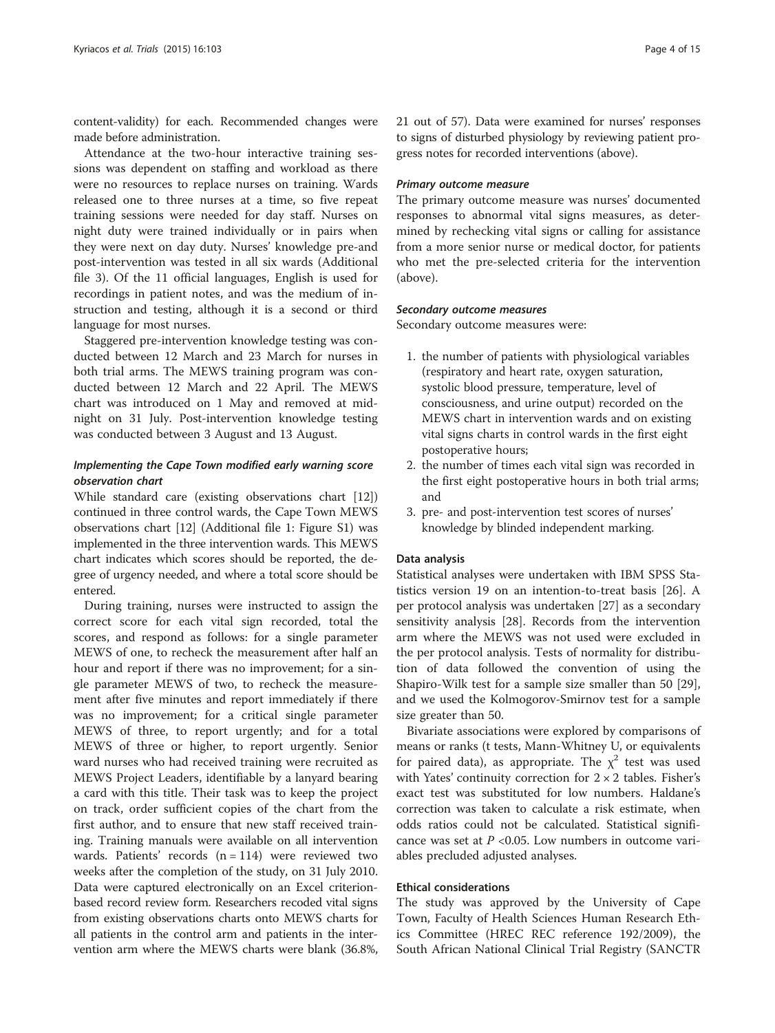content-validity) for each. Recommended changes were made before administration.

Attendance at the two-hour interactive training sessions was dependent on staffing and workload as there were no resources to replace nurses on training. Wards released one to three nurses at a time, so five repeat training sessions were needed for day staff. Nurses on night duty were trained individually or in pairs when they were next on day duty. Nurses' knowledge pre-and post-intervention was tested in all six wards (Additional file [3](#page-12-0)). Of the 11 official languages, English is used for recordings in patient notes, and was the medium of instruction and testing, although it is a second or third language for most nurses.

Staggered pre-intervention knowledge testing was conducted between 12 March and 23 March for nurses in both trial arms. The MEWS training program was conducted between 12 March and 22 April. The MEWS chart was introduced on 1 May and removed at midnight on 31 July. Post-intervention knowledge testing was conducted between 3 August and 13 August.

### Implementing the Cape Town modified early warning score observation chart

While standard care (existing observations chart [[12](#page-13-0)]) continued in three control wards, the Cape Town MEWS observations chart [\[12\]](#page-13-0) (Additional file [1](#page-12-0): Figure S1) was implemented in the three intervention wards. This MEWS chart indicates which scores should be reported, the degree of urgency needed, and where a total score should be entered.

During training, nurses were instructed to assign the correct score for each vital sign recorded, total the scores, and respond as follows: for a single parameter MEWS of one, to recheck the measurement after half an hour and report if there was no improvement; for a single parameter MEWS of two, to recheck the measurement after five minutes and report immediately if there was no improvement; for a critical single parameter MEWS of three, to report urgently; and for a total MEWS of three or higher, to report urgently. Senior ward nurses who had received training were recruited as MEWS Project Leaders, identifiable by a lanyard bearing a card with this title. Their task was to keep the project on track, order sufficient copies of the chart from the first author, and to ensure that new staff received training. Training manuals were available on all intervention wards. Patients' records  $(n = 114)$  were reviewed two weeks after the completion of the study, on 31 July 2010. Data were captured electronically on an Excel criterionbased record review form. Researchers recoded vital signs from existing observations charts onto MEWS charts for all patients in the control arm and patients in the intervention arm where the MEWS charts were blank (36.8%, 21 out of 57). Data were examined for nurses' responses to signs of disturbed physiology by reviewing patient progress notes for recorded interventions (above).

#### Primary outcome measure

The primary outcome measure was nurses' documented responses to abnormal vital signs measures, as determined by rechecking vital signs or calling for assistance from a more senior nurse or medical doctor, for patients who met the pre-selected criteria for the intervention (above).

#### Secondary outcome measures

Secondary outcome measures were:

- 1. the number of patients with physiological variables (respiratory and heart rate, oxygen saturation, systolic blood pressure, temperature, level of consciousness, and urine output) recorded on the MEWS chart in intervention wards and on existing vital signs charts in control wards in the first eight postoperative hours;
- 2. the number of times each vital sign was recorded in the first eight postoperative hours in both trial arms; and
- 3. pre- and post-intervention test scores of nurses' knowledge by blinded independent marking.

#### Data analysis

Statistical analyses were undertaken with IBM SPSS Statistics version 19 on an intention-to-treat basis [\[26\]](#page-13-0). A per protocol analysis was undertaken [\[27\]](#page-13-0) as a secondary sensitivity analysis [[28\]](#page-13-0). Records from the intervention arm where the MEWS was not used were excluded in the per protocol analysis. Tests of normality for distribution of data followed the convention of using the Shapiro-Wilk test for a sample size smaller than 50 [\[29](#page-13-0)], and we used the Kolmogorov-Smirnov test for a sample size greater than 50.

Bivariate associations were explored by comparisons of means or ranks (t tests, Mann-Whitney U, or equivalents for paired data), as appropriate. The  $\chi^2$  test was used with Yates' continuity correction for  $2 \times 2$  tables. Fisher's exact test was substituted for low numbers. Haldane's correction was taken to calculate a risk estimate, when odds ratios could not be calculated. Statistical significance was set at  $P$  <0.05. Low numbers in outcome variables precluded adjusted analyses.

#### Ethical considerations

The study was approved by the University of Cape Town, Faculty of Health Sciences Human Research Ethics Committee (HREC REC reference 192/2009), the South African National Clinical Trial Registry (SANCTR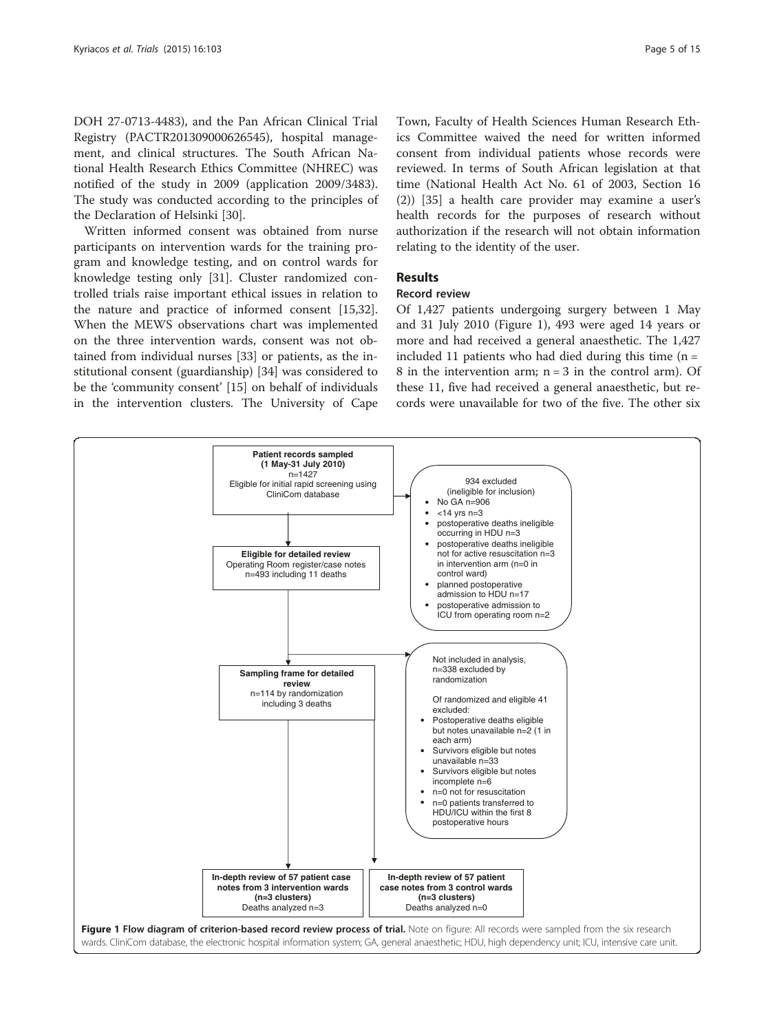<span id="page-4-0"></span>DOH 27-0713-4483), and the Pan African Clinical Trial Registry (PACTR201309000626545), hospital management, and clinical structures. The South African National Health Research Ethics Committee (NHREC) was notified of the study in 2009 (application 2009/3483). The study was conducted according to the principles of the Declaration of Helsinki [[30](#page-13-0)].

Written informed consent was obtained from nurse participants on intervention wards for the training program and knowledge testing, and on control wards for knowledge testing only [[31](#page-13-0)]. Cluster randomized controlled trials raise important ethical issues in relation to the nature and practice of informed consent [\[15,32](#page-13-0)]. When the MEWS observations chart was implemented on the three intervention wards, consent was not obtained from individual nurses [[33\]](#page-13-0) or patients, as the institutional consent (guardianship) [[34\]](#page-13-0) was considered to be the 'community consent' [\[15\]](#page-13-0) on behalf of individuals in the intervention clusters. The University of Cape

Town, Faculty of Health Sciences Human Research Ethics Committee waived the need for written informed consent from individual patients whose records were reviewed. In terms of South African legislation at that time (National Health Act No. 61 of 2003, Section 16 (2)) [\[35](#page-13-0)] a health care provider may examine a user's health records for the purposes of research without authorization if the research will not obtain information relating to the identity of the user.

### Results

### Record review

Of 1,427 patients undergoing surgery between 1 May and 31 July 2010 (Figure 1), 493 were aged 14 years or more and had received a general anaesthetic. The 1,427 included 11 patients who had died during this time  $(n =$ 8 in the intervention arm;  $n = 3$  in the control arm). Of these 11, five had received a general anaesthetic, but records were unavailable for two of the five. The other six

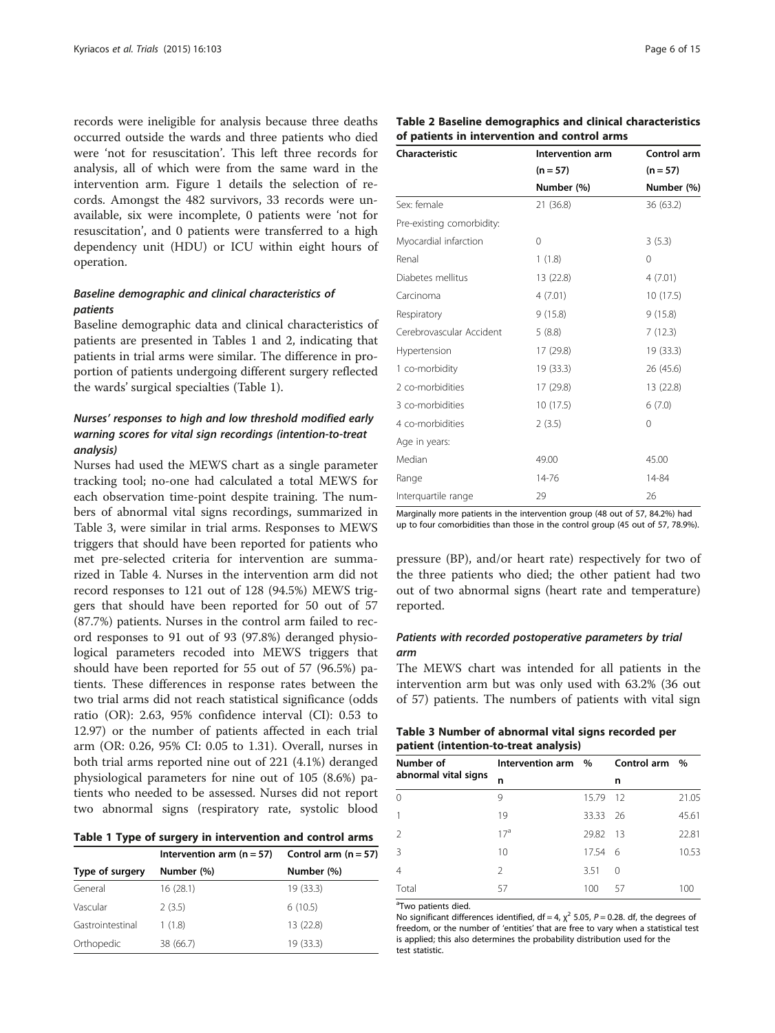<span id="page-5-0"></span>records were ineligible for analysis because three deaths occurred outside the wards and three patients who died were 'not for resuscitation'. This left three records for analysis, all of which were from the same ward in the intervention arm. Figure [1](#page-4-0) details the selection of records. Amongst the 482 survivors, 33 records were unavailable, six were incomplete, 0 patients were 'not for resuscitation', and 0 patients were transferred to a high dependency unit (HDU) or ICU within eight hours of operation.

### Baseline demographic and clinical characteristics of patients

Baseline demographic data and clinical characteristics of patients are presented in Tables 1 and 2, indicating that patients in trial arms were similar. The difference in proportion of patients undergoing different surgery reflected the wards' surgical specialties (Table 1).

### Nurses' responses to high and low threshold modified early warning scores for vital sign recordings (intention-to-treat analysis)

Nurses had used the MEWS chart as a single parameter tracking tool; no-one had calculated a total MEWS for each observation time-point despite training. The numbers of abnormal vital signs recordings, summarized in Table 3, were similar in trial arms. Responses to MEWS triggers that should have been reported for patients who met pre-selected criteria for intervention are summarized in Table [4](#page-6-0). Nurses in the intervention arm did not record responses to 121 out of 128 (94.5%) MEWS triggers that should have been reported for 50 out of 57 (87.7%) patients. Nurses in the control arm failed to record responses to 91 out of 93 (97.8%) deranged physiological parameters recoded into MEWS triggers that should have been reported for 55 out of 57 (96.5%) patients. These differences in response rates between the two trial arms did not reach statistical significance (odds ratio (OR): 2.63, 95% confidence interval (CI): 0.53 to 12.97) or the number of patients affected in each trial arm (OR: 0.26, 95% CI: 0.05 to 1.31). Overall, nurses in both trial arms reported nine out of 221 (4.1%) deranged physiological parameters for nine out of 105 (8.6%) patients who needed to be assessed. Nurses did not report two abnormal signs (respiratory rate, systolic blood

|  |  |  |  |  |  | Table 1 Type of surgery in intervention and control arms |  |  |  |
|--|--|--|--|--|--|----------------------------------------------------------|--|--|--|
|--|--|--|--|--|--|----------------------------------------------------------|--|--|--|

|                  | Intervention arm $(n = 57)$ | Control arm $(n = 57)$ |
|------------------|-----------------------------|------------------------|
| Type of surgery  | Number (%)                  | Number (%)             |
| General          | 16(28.1)                    | 19 (33.3)              |
| Vascular         | 2(3.5)                      | 6(10.5)                |
| Gastrointestinal | 1(1.8)                      | 13 (22.8)              |
| Orthopedic       | 38 (66.7)                   | 19 (33.3)              |

|  |                                              |  | Table 2 Baseline demographics and clinical characteristics |
|--|----------------------------------------------|--|------------------------------------------------------------|
|  | of patients in intervention and control arms |  |                                                            |

| <b>Characteristic</b>     | Intervention arm | Control arm |  |  |
|---------------------------|------------------|-------------|--|--|
|                           | $(n = 57)$       | $(n = 57)$  |  |  |
|                           | Number (%)       | Number (%)  |  |  |
| Sex: female               | 21 (36.8)        | 36 (63.2)   |  |  |
| Pre-existing comorbidity: |                  |             |  |  |
| Myocardial infarction     | 0                | 3(5.3)      |  |  |
| Renal                     | 1(1.8)           | 0           |  |  |
| Diabetes mellitus         | 13 (22.8)        | 4(7.01)     |  |  |
| Carcinoma                 | 4(7.01)          | 10 (17.5)   |  |  |
| Respiratory               | 9(15.8)          | 9(15.8)     |  |  |
| Cerebrovascular Accident  | 5(8.8)           | 7(12.3)     |  |  |
| Hypertension              | 17 (29.8)        | 19 (33.3)   |  |  |
| 1 co-morbidity            | 19 (33.3)        | 26 (45.6)   |  |  |
| 2 co-morbidities          | 17 (29.8)        | 13 (22.8)   |  |  |
| 3 co-morbidities          | 10(17.5)         | 6(7.0)      |  |  |
| 4 co-morbidities          | 2(3.5)           | 0           |  |  |
| Age in years:             |                  |             |  |  |
| Median                    | 49.00            | 45.00       |  |  |
| Range                     | 14-76            | 14-84       |  |  |
| Interguartile range       | 29               | 26          |  |  |

Marginally more patients in the intervention group (48 out of 57, 84.2%) had up to four comorbidities than those in the control group (45 out of 57, 78.9%).

pressure (BP), and/or heart rate) respectively for two of the three patients who died; the other patient had two out of two abnormal signs (heart rate and temperature) reported.

### Patients with recorded postoperative parameters by trial arm

The MEWS chart was intended for all patients in the intervention arm but was only used with 63.2% (36 out of 57) patients. The numbers of patients with vital sign

Table 3 Number of abnormal vital signs recorded per patient (intention-to-treat analysis)

| Number of            | Intervention arm % |          | Control arm % |       |  |
|----------------------|--------------------|----------|---------------|-------|--|
| abnormal vital signs | n                  |          | n             |       |  |
| $\Omega$             | 9                  | 15.79    | - 12          | 21.05 |  |
| $\mathbf{1}$         | 19                 | 33.33 26 |               | 45.61 |  |
| $\overline{2}$       | 17 <sup>a</sup>    | 29.82 13 |               | 22.81 |  |
| 3                    | 10                 | 17.54 6  |               | 10.53 |  |
| $\overline{4}$       | $\mathcal{P}$      | 3.51     | $\Omega$      |       |  |
| Total                | 57                 | 100      | 57            | 100   |  |

<sup>a</sup>Two patients died.

No significant differences identified, df = 4,  $\chi^2$  5.05, P = 0.28. df, the degrees of freedom, or the number of 'entities' that are free to vary when a statistical test is applied; this also determines the probability distribution used for the test statistic.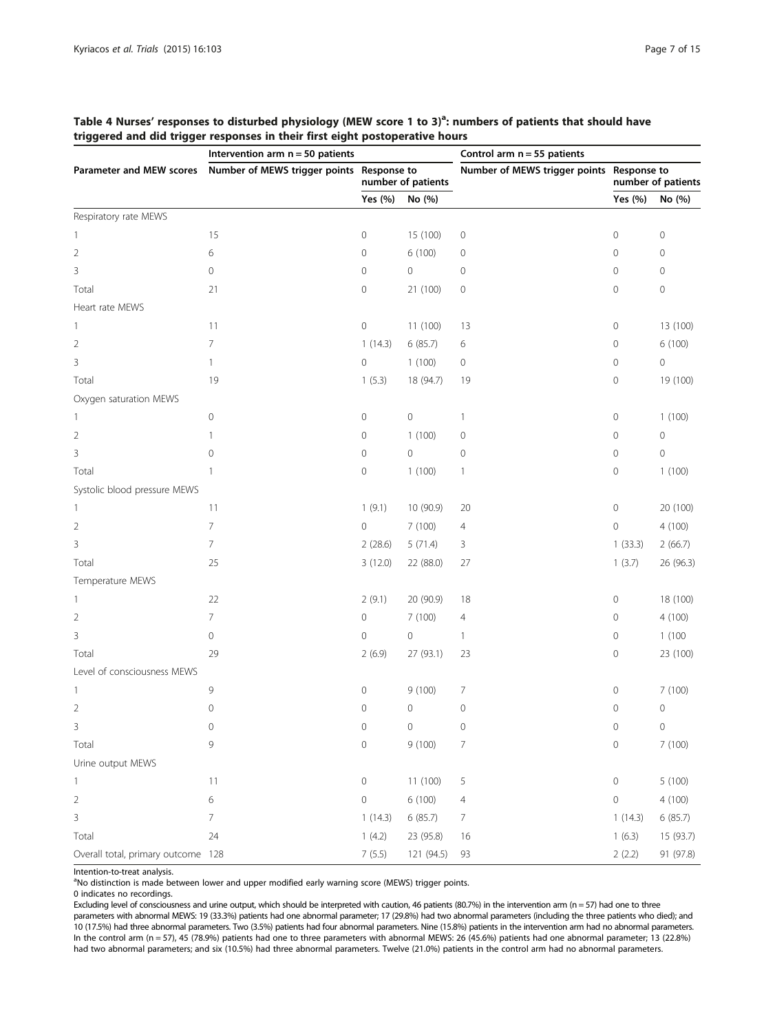|                                    | Intervention arm $n = 50$ patients                                   |                     |             | Control arm $n = 55$ patients             |                     |                     |
|------------------------------------|----------------------------------------------------------------------|---------------------|-------------|-------------------------------------------|---------------------|---------------------|
|                                    | Parameter and MEW scores  Number of MEWS trigger points  Response to | number of patients  |             | Number of MEWS trigger points Response to | number of patients  |                     |
|                                    |                                                                      | Yes (%)             | No (%)      |                                           | Yes (%)             | No (%)              |
| Respiratory rate MEWS              |                                                                      |                     |             |                                           |                     |                     |
| $\mathbf{1}$                       | 15                                                                   | $\mathbf 0$         | 15 (100)    | $\mathsf{O}\xspace$                       | 0                   | $\mathsf{O}\xspace$ |
| $\sqrt{2}$                         | 6                                                                    | 0                   | 6 (100)     | $\mathbf 0$                               | $\mathbf 0$         | 0                   |
| 3                                  | $\mathbf 0$                                                          | 0                   | $\circ$     | $\circ$                                   | $\mathbf 0$         | 0                   |
| Total                              | 21                                                                   | $\mathsf{O}\xspace$ | 21 (100)    | $\mathsf{O}\xspace$                       | 0                   | $\mathsf{O}\xspace$ |
| Heart rate MEWS                    |                                                                      |                     |             |                                           |                     |                     |
| $\mathbf{1}$                       | 11                                                                   | $\mathsf{O}\xspace$ | 11(100)     | 13                                        | $\mathbf 0$         | 13 (100)            |
| $\overline{2}$                     | 7                                                                    | 1(14.3)             | 6(85.7)     | 6                                         | 0                   | 6 (100)             |
| 3                                  | 1                                                                    | 0                   | 1(100)      | $\mathsf{O}\xspace$                       | $\mathbf 0$         | $\mathbf 0$         |
| Total                              | 19                                                                   | 1(5.3)              | 18 (94.7)   | 19                                        | 0                   | 19 (100)            |
| Oxygen saturation MEWS             |                                                                      |                     |             |                                           |                     |                     |
| $\mathbf{1}$                       | $\mathbb O$                                                          | $\mathbf 0$         | $\mathbf 0$ | $\mathbf{1}$                              | 0                   | 1(100)              |
| $\overline{2}$                     | $\mathbf{1}$                                                         | 0                   | 1(100)      | $\circ$                                   | $\mathbf 0$         | $\mathsf{O}\xspace$ |
| 3                                  | $\mathbf 0$                                                          | 0                   | $\mathbf 0$ | $\circ$                                   | $\mathbf 0$         | $\mathsf{O}\xspace$ |
| Total                              | 1                                                                    | $\mathbf 0$         | 1(100)      | $\mathbf{1}$                              | $\mathbf 0$         | 1(100)              |
| Systolic blood pressure MEWS       |                                                                      |                     |             |                                           |                     |                     |
| $\mathbf{1}$                       | 11                                                                   | 1(9.1)              | 10 (90.9)   | 20                                        | $\mathbf 0$         | 20 (100)            |
| $\overline{2}$                     | 7                                                                    | $\mathsf{O}\xspace$ | 7(100)      | $\overline{4}$                            | $\mathbf 0$         | 4(100)              |
| 3                                  | 7                                                                    | 2(28.6)             | 5(71.4)     | 3                                         | 1(33.3)             | 2(66.7)             |
| Total                              | 25                                                                   | 3(12.0)             | 22 (88.0)   | 27                                        | 1(3.7)              | 26 (96.3)           |
| Temperature MEWS                   |                                                                      |                     |             |                                           |                     |                     |
| $\mathbf{1}$                       | 22                                                                   | 2(9.1)              | 20 (90.9)   | 18                                        | 0                   | 18 (100)            |
| $\sqrt{2}$                         | 7                                                                    | $\mathsf{O}\xspace$ | 7 (100)     | $\overline{4}$                            | $\circ$             | 4(100)              |
| 3                                  | $\mathbf 0$                                                          | $\circ$             | 0           | $\mathbf{1}$                              | $\mathbf 0$         | 1(100)              |
| Total                              | 29                                                                   | 2(6.9)              | 27 (93.1)   | 23                                        | $\mathbf 0$         | 23 (100)            |
| Level of consciousness MEWS        |                                                                      |                     |             |                                           |                     |                     |
| 1                                  | 9                                                                    | 0                   | 9(100)      | 7                                         | 0                   | 7 (100)             |
| $\overline{2}$                     | $\mathbf 0$                                                          | $\mathbf 0$         | $\mathbb O$ | $\circ$                                   | $\mathbf 0$         | $\mathsf{O}\xspace$ |
| 3                                  | $\mathbf 0$                                                          | 0                   | 0           | $\mathsf{O}\xspace$                       | $\mathbf 0$         | $\mathsf{O}\xspace$ |
| Total                              | 9                                                                    | $\mathsf{O}\xspace$ | 9(100)      | $\overline{7}$                            | $\mathsf{O}\xspace$ | 7 (100)             |
| Urine output MEWS                  |                                                                      |                     |             |                                           |                     |                     |
| $\mathbf{1}$                       | 11                                                                   | $\mathsf{O}\xspace$ | 11 (100)    | 5                                         | $\mathsf{O}\xspace$ | 5 (100)             |
| $\overline{2}$                     | 6                                                                    | $\mathbf 0$         | 6 (100)     | $\overline{4}$                            | $\mathbf 0$         | 4 (100)             |
| 3                                  | 7                                                                    | 1(14.3)             | 6(85.7)     | 7                                         | 1(14.3)             | 6(85.7)             |
| Total                              | 24                                                                   | 1(4.2)              | 23 (95.8)   | 16                                        | 1(6.3)              | 15 (93.7)           |
| Overall total, primary outcome 128 |                                                                      | 7(5.5)              | 121 (94.5)  | 93                                        | 2(2.2)              | 91 (97.8)           |

<span id="page-6-0"></span>Table 4 Nurses' responses to disturbed physiology (MEW score 1 to 3)<sup>a</sup>: numbers of patients that should have triggered and did trigger responses in their first eight postoperative hours

Intention-to-treat analysis.

<sup>a</sup>No distinction is made between lower and upper modified early warning score (MEWS) trigger points.

0 indicates no recordings.

Excluding level of consciousness and urine output, which should be interpreted with caution, 46 patients (80.7%) in the intervention arm (n = 57) had one to three parameters with abnormal MEWS: 19 (33.3%) patients had one abnormal parameter; 17 (29.8%) had two abnormal parameters (including the three patients who died); and 10 (17.5%) had three abnormal parameters. Two (3.5%) patients had four abnormal parameters. Nine (15.8%) patients in the intervention arm had no abnormal parameters. In the control arm (n = 57), 45 (78.9%) patients had one to three parameters with abnormal MEWS: 26 (45.6%) patients had one abnormal parameter; 13 (22.8%) had two abnormal parameters; and six (10.5%) had three abnormal parameters. Twelve (21.0%) patients in the control arm had no abnormal parameters.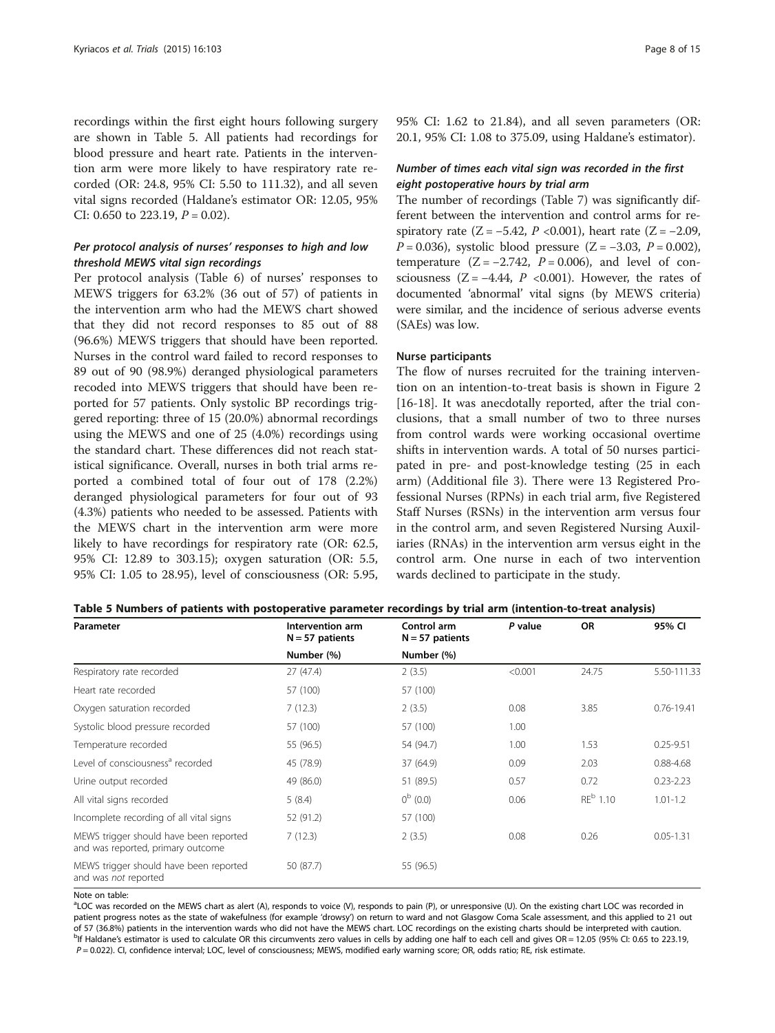recordings within the first eight hours following surgery are shown in Table 5. All patients had recordings for blood pressure and heart rate. Patients in the intervention arm were more likely to have respiratory rate recorded (OR: 24.8, 95% CI: 5.50 to 111.32), and all seven vital signs recorded (Haldane's estimator OR: 12.05, 95% CI: 0.650 to 223.19,  $P = 0.02$ ).

### Per protocol analysis of nurses' responses to high and low threshold MEWS vital sign recordings

Per protocol analysis (Table [6\)](#page-8-0) of nurses' responses to MEWS triggers for 63.2% (36 out of 57) of patients in the intervention arm who had the MEWS chart showed that they did not record responses to 85 out of 88 (96.6%) MEWS triggers that should have been reported. Nurses in the control ward failed to record responses to 89 out of 90 (98.9%) deranged physiological parameters recoded into MEWS triggers that should have been reported for 57 patients. Only systolic BP recordings triggered reporting: three of 15 (20.0%) abnormal recordings using the MEWS and one of 25 (4.0%) recordings using the standard chart. These differences did not reach statistical significance. Overall, nurses in both trial arms reported a combined total of four out of 178 (2.2%) deranged physiological parameters for four out of 93 (4.3%) patients who needed to be assessed. Patients with the MEWS chart in the intervention arm were more likely to have recordings for respiratory rate (OR: 62.5, 95% CI: 12.89 to 303.15); oxygen saturation (OR: 5.5, 95% CI: 1.05 to 28.95), level of consciousness (OR: 5.95,

95% CI: 1.62 to 21.84), and all seven parameters (OR: 20.1, 95% CI: 1.08 to 375.09, using Haldane's estimator).

### Number of times each vital sign was recorded in the first eight postoperative hours by trial arm

The number of recordings (Table [7\)](#page-9-0) was significantly different between the intervention and control arms for respiratory rate ( $Z = -5.42$ ,  $P < 0.001$ ), heart rate ( $Z = -2.09$ ,  $P = 0.036$ ), systolic blood pressure (Z = -3.03,  $P = 0.002$ ), temperature  $(Z = -2.742, P = 0.006)$ , and level of consciousness ( $Z = -4.44$ ,  $P < 0.001$ ). However, the rates of documented 'abnormal' vital signs (by MEWS criteria) were similar, and the incidence of serious adverse events (SAEs) was low.

#### Nurse participants

The flow of nurses recruited for the training intervention on an intention-to-treat basis is shown in Figure [2](#page-10-0) [[16-18](#page-13-0)]. It was anecdotally reported, after the trial conclusions, that a small number of two to three nurses from control wards were working occasional overtime shifts in intervention wards. A total of 50 nurses participated in pre- and post-knowledge testing (25 in each arm) (Additional file [3\)](#page-12-0). There were 13 Registered Professional Nurses (RPNs) in each trial arm, five Registered Staff Nurses (RSNs) in the intervention arm versus four in the control arm, and seven Registered Nursing Auxiliaries (RNAs) in the intervention arm versus eight in the control arm. One nurse in each of two intervention wards declined to participate in the study.

| Table 5 Numbers of patients with postoperative parameter recordings by trial arm (intention-to-treat analysis) |  |  |  |  |
|----------------------------------------------------------------------------------------------------------------|--|--|--|--|
|                                                                                                                |  |  |  |  |

| Parameter                                                                   | Intervention arm<br>$N = 57$ patients | Control arm<br>$N = 57$ patients | P value | <b>OR</b>            | 95% CI         |
|-----------------------------------------------------------------------------|---------------------------------------|----------------------------------|---------|----------------------|----------------|
|                                                                             | Number (%)                            | Number (%)                       |         |                      |                |
| Respiratory rate recorded                                                   | 27 (47.4)                             | 2(3.5)                           | < 0.001 | 24.75                | 5.50-111.33    |
| Heart rate recorded                                                         | 57 (100)                              | 57 (100)                         |         |                      |                |
| Oxygen saturation recorded                                                  | 7(12.3)                               | 2(3.5)                           | 0.08    | 3.85                 | $0.76 - 19.41$ |
| Systolic blood pressure recorded                                            | 57 (100)                              | 57 (100)                         | 1.00    |                      |                |
| Temperature recorded                                                        | 55 (96.5)                             | 54 (94.7)                        | 1.00    | 1.53                 | $0.25 - 9.51$  |
| Level of consciousness <sup>a</sup> recorded                                | 45 (78.9)                             | 37 (64.9)                        | 0.09    | 2.03                 | 0.88-4.68      |
| Urine output recorded                                                       | 49 (86.0)                             | 51 (89.5)                        | 0.57    | 0.72                 | $0.23 - 2.23$  |
| All vital signs recorded                                                    | 5(8.4)                                | $0^{\rm b}$ (0.0)                | 0.06    | RE <sup>b</sup> 1.10 | $1.01 - 1.2$   |
| Incomplete recording of all vital signs                                     | 52 (91.2)                             | 57 (100)                         |         |                      |                |
| MEWS trigger should have been reported<br>and was reported, primary outcome | 7(12.3)                               | 2(3.5)                           | 0.08    | 0.26                 | $0.05 - 1.31$  |
| MEWS trigger should have been reported<br>and was not reported              | 50 (87.7)                             | 55 (96.5)                        |         |                      |                |

Note on table:

<sup>a</sup>LOC was recorded on the MEWS chart as alert (A), responds to voice (V), responds to pain (P), or unresponsive (U). On the existing chart LOC was recorded in patient progress notes as the state of wakefulness (for example 'drowsy') on return to ward and not Glasgow Coma Scale assessment, and this applied to 21 out of 57 (36.8%) patients in the intervention wards who did not have the MEWS chart. LOC recordings on the existing charts should be interpreted with caution. <sup>b</sup> <sup>b</sup>If Haldane's estimator is used to calculate OR this circumvents zero values in cells by adding one half to each cell and gives OR = 12.05 (95% CI: 0.65 to 223.19,  $P = 0.022$ ). CI, confidence interval; LOC, level of consciousness; MEWS, modified early warning score; OR, odds ratio; RE, risk estimate.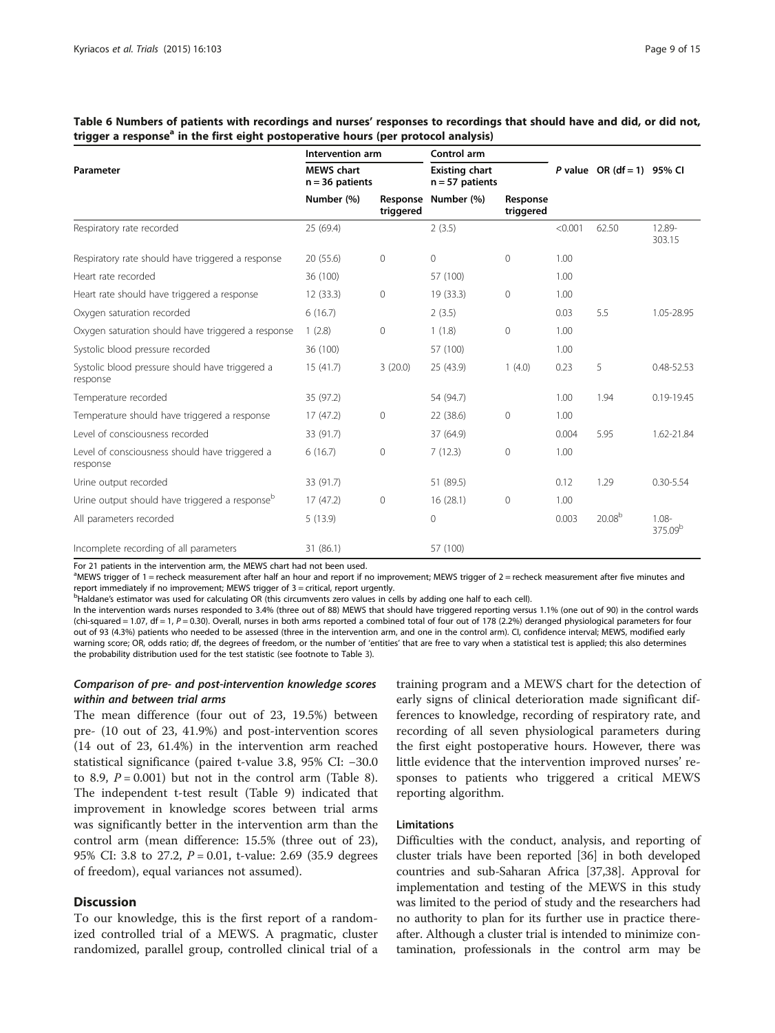<span id="page-8-0"></span>

|  | Table 6 Numbers of patients with recordings and nurses' responses to recordings that should have and did, or did not, |  |  |  |  |
|--|-----------------------------------------------------------------------------------------------------------------------|--|--|--|--|
|  | trigger a response <sup>a</sup> in the first eight postoperative hours (per protocol analysis)                        |  |  |  |  |

|                                                             | Intervention arm<br><b>MEWS chart</b><br>$n = 36$ patients |                       | Control arm                                |                       |         |                    |                                 |                              |
|-------------------------------------------------------------|------------------------------------------------------------|-----------------------|--------------------------------------------|-----------------------|---------|--------------------|---------------------------------|------------------------------|
| Parameter                                                   |                                                            |                       | <b>Existing chart</b><br>$n = 57$ patients |                       |         |                    |                                 | P value OR $(df = 1)$ 95% CI |
|                                                             | Number (%)                                                 | Response<br>triggered | Number (%)                                 | Response<br>triggered |         |                    |                                 |                              |
| Respiratory rate recorded                                   | 25 (69.4)                                                  |                       | 2(3.5)                                     |                       | < 0.001 | 62.50              | 12.89-<br>303.15                |                              |
| Respiratory rate should have triggered a response           | 20 (55.6)                                                  | $\circ$               | 0                                          | $\mathbf{0}$          | 1.00    |                    |                                 |                              |
| Heart rate recorded                                         | 36 (100)                                                   |                       | 57 (100)                                   |                       | 1.00    |                    |                                 |                              |
| Heart rate should have triggered a response                 | 12(33.3)                                                   | $\Omega$              | 19 (33.3)                                  | $\mathbf{0}$          | 1.00    |                    |                                 |                              |
| Oxygen saturation recorded                                  | 6(16.7)                                                    |                       | 2(3.5)                                     |                       | 0.03    | 5.5                | 1.05-28.95                      |                              |
| Oxygen saturation should have triggered a response          | 1(2.8)                                                     | $\Omega$              | 1(1.8)                                     | $\mathbf{0}$          | 1.00    |                    |                                 |                              |
| Systolic blood pressure recorded                            | 36 (100)                                                   |                       | 57 (100)                                   |                       | 1.00    |                    |                                 |                              |
| Systolic blood pressure should have triggered a<br>response | 15(41.7)                                                   | 3(20.0)               | 25 (43.9)                                  | 1(4.0)                | 0.23    | 5                  | 0.48-52.53                      |                              |
| Temperature recorded                                        | 35 (97.2)                                                  |                       | 54 (94.7)                                  |                       | 1.00    | 1.94               | 0.19-19.45                      |                              |
| Temperature should have triggered a response                | 17(47.2)                                                   | $\circ$               | 22 (38.6)                                  | $\mathbf{0}$          | 1.00    |                    |                                 |                              |
| Level of consciousness recorded                             | 33 (91.7)                                                  |                       | 37 (64.9)                                  |                       | 0.004   | 5.95               | 1.62-21.84                      |                              |
| Level of consciousness should have triggered a<br>response  | 6(16.7)                                                    | $\circ$               | 7(12.3)                                    | 0                     | 1.00    |                    |                                 |                              |
| Urine output recorded                                       | 33 (91.7)                                                  |                       | 51 (89.5)                                  |                       | 0.12    | 1.29               | $0.30 - 5.54$                   |                              |
| Urine output should have triggered a response <sup>b</sup>  | 17(47.2)                                                   | $\circ$               | 16(28.1)                                   | $\mathbf{0}$          | 1.00    |                    |                                 |                              |
| All parameters recorded                                     | 5(13.9)                                                    |                       | $\circ$                                    |                       | 0.003   | 20.08 <sup>b</sup> | $1.08 -$<br>375.09 <sup>b</sup> |                              |
| Incomplete recording of all parameters                      | 31(86.1)                                                   |                       | 57 (100)                                   |                       |         |                    |                                 |                              |

For 21 patients in the intervention arm, the MEWS chart had not been used.

<sup>a</sup>MEWS trigger of 1 = recheck measurement after half an hour and report if no improvement; MEWS trigger of 2 = recheck measurement after five minutes and report immediately if no improvement; MEWS trigger of 3 = critical, report urgently.

b Haldane's estimator was used for calculating OR (this circumvents zero values in cells by adding one half to each cell).

In the intervention wards nurses responded to 3.4% (three out of 88) MEWS that should have triggered reporting versus 1.1% (one out of 90) in the control wards  $(chi\rightarrow$  1.07, df = 1, P = 0.30). Overall, nurses in both arms reported a combined total of four out of 178 (2.2%) deranged physiological parameters for four out of 93 (4.3%) patients who needed to be assessed (three in the intervention arm, and one in the control arm). CI, confidence interval; MEWS, modified early warning score; OR, odds ratio; df, the degrees of freedom, or the number of 'entities' that are free to vary when a statistical test is applied; this also determines the probability distribution used for the test statistic (see footnote to Table [3](#page-5-0)).

### Comparison of pre- and post-intervention knowledge scores within and between trial arms

The mean difference (four out of 23, 19.5%) between pre- (10 out of 23, 41.9%) and post-intervention scores (14 out of 23, 61.4%) in the intervention arm reached statistical significance (paired t-value 3.8, 95% CI: −30.0 to [8](#page-10-0).9,  $P = 0.001$ ) but not in the control arm (Table 8). The independent t-test result (Table [9\)](#page-11-0) indicated that improvement in knowledge scores between trial arms was significantly better in the intervention arm than the control arm (mean difference: 15.5% (three out of 23), 95% CI: 3.8 to 27.2, P = 0.01, t-value: 2.69 (35.9 degrees of freedom), equal variances not assumed).

### **Discussion**

To our knowledge, this is the first report of a randomized controlled trial of a MEWS. A pragmatic, cluster randomized, parallel group, controlled clinical trial of a

training program and a MEWS chart for the detection of early signs of clinical deterioration made significant differences to knowledge, recording of respiratory rate, and recording of all seven physiological parameters during the first eight postoperative hours. However, there was little evidence that the intervention improved nurses' responses to patients who triggered a critical MEWS reporting algorithm.

### Limitations

Difficulties with the conduct, analysis, and reporting of cluster trials have been reported [[36](#page-13-0)] in both developed countries and sub-Saharan Africa [\[37,38\]](#page-13-0). Approval for implementation and testing of the MEWS in this study was limited to the period of study and the researchers had no authority to plan for its further use in practice thereafter. Although a cluster trial is intended to minimize contamination, professionals in the control arm may be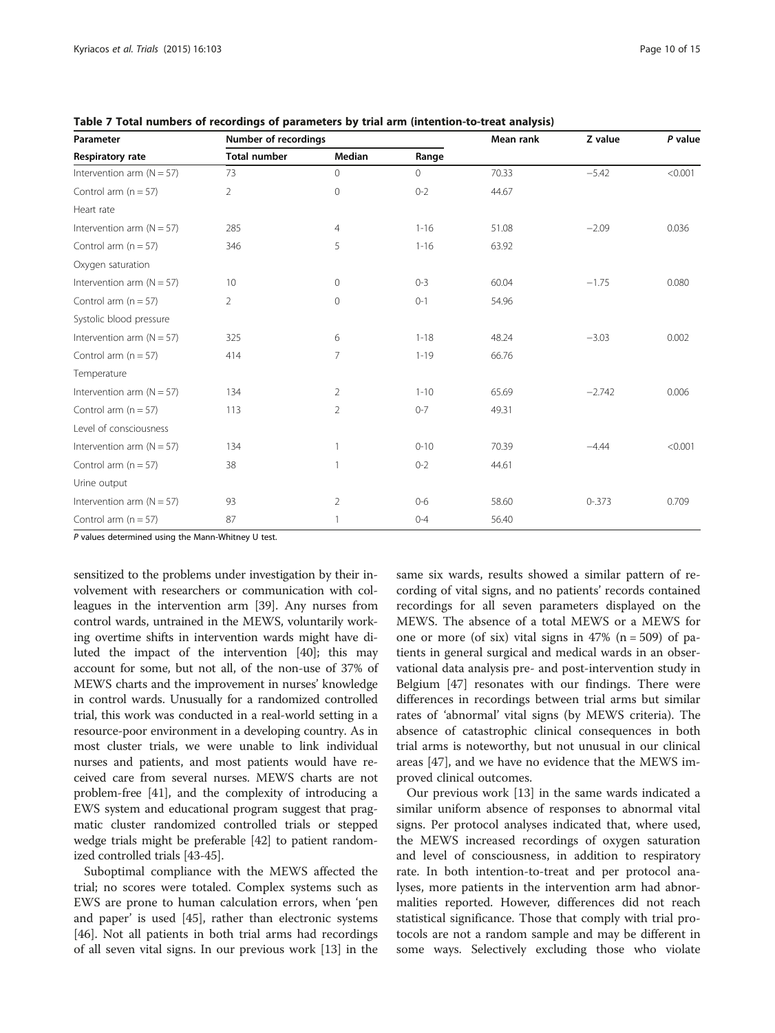| Parameter                     | Number of recordings |                |          | Mean rank | Z value   | P value |  |
|-------------------------------|----------------------|----------------|----------|-----------|-----------|---------|--|
| <b>Respiratory rate</b>       | <b>Total number</b>  | <b>Median</b>  | Range    |           |           |         |  |
| Intervention arm $(N = 57)$   | 73                   | $\circ$        | 0        | 70.33     | $-5.42$   | < 0.001 |  |
| Control arm $(n = 57)$        | $\overline{2}$       | $\mathbf 0$    | $0 - 2$  | 44.67     |           |         |  |
| Heart rate                    |                      |                |          |           |           |         |  |
| Intervention arm $(N = 57)$   | 285                  | $\overline{4}$ | $1 - 16$ | 51.08     | $-2.09$   | 0.036   |  |
| Control arm $(n = 57)$        | 346                  | 5              | $1 - 16$ | 63.92     |           |         |  |
| Oxygen saturation             |                      |                |          |           |           |         |  |
| Intervention arm $(N = 57)$   | 10                   | $\circ$        | $0 - 3$  | 60.04     | $-1.75$   | 0.080   |  |
| Control arm $(n = 57)$        | $\overline{2}$       | $\circ$        | $0 - 1$  | 54.96     |           |         |  |
| Systolic blood pressure       |                      |                |          |           |           |         |  |
| Intervention arm $(N = 57)$   | 325                  | 6              | $1 - 18$ | 48.24     | $-3.03$   | 0.002   |  |
| Control arm $(n = 57)$        | 414                  | 7              | $1 - 19$ | 66.76     |           |         |  |
| Temperature                   |                      |                |          |           |           |         |  |
| Intervention arm ( $N = 57$ ) | 134                  | 2              | $1 - 10$ | 65.69     | $-2.742$  | 0.006   |  |
| Control arm $(n = 57)$        | 113                  | $\overline{2}$ | $0 - 7$  | 49.31     |           |         |  |
| Level of consciousness        |                      |                |          |           |           |         |  |
| Intervention arm $(N = 57)$   | 134                  | 1              | $0 - 10$ | 70.39     | $-4.44$   | < 0.001 |  |
| Control arm $(n = 57)$        | 38                   | 1              | $0 - 2$  | 44.61     |           |         |  |
| Urine output                  |                      |                |          |           |           |         |  |
| Intervention arm $(N = 57)$   | 93                   | 2              | $0-6$    | 58.60     | $0 - 373$ | 0.709   |  |
| Control arm $(n = 57)$        | 87                   | 1              | $0 - 4$  | 56.40     |           |         |  |

<span id="page-9-0"></span>Table 7 Total numbers of recordings of parameters by trial arm (intention-to-treat analysis)

P values determined using the Mann-Whitney U test.

sensitized to the problems under investigation by their involvement with researchers or communication with colleagues in the intervention arm [\[39\]](#page-13-0). Any nurses from control wards, untrained in the MEWS, voluntarily working overtime shifts in intervention wards might have diluted the impact of the intervention [[40](#page-13-0)]; this may account for some, but not all, of the non-use of 37% of MEWS charts and the improvement in nurses' knowledge in control wards. Unusually for a randomized controlled trial, this work was conducted in a real-world setting in a resource-poor environment in a developing country. As in most cluster trials, we were unable to link individual nurses and patients, and most patients would have received care from several nurses. MEWS charts are not problem-free [[41](#page-13-0)], and the complexity of introducing a EWS system and educational program suggest that pragmatic cluster randomized controlled trials or stepped wedge trials might be preferable [[42](#page-13-0)] to patient randomized controlled trials [\[43-45\]](#page-13-0).

Suboptimal compliance with the MEWS affected the trial; no scores were totaled. Complex systems such as EWS are prone to human calculation errors, when 'pen and paper' is used [[45\]](#page-13-0), rather than electronic systems [[46\]](#page-13-0). Not all patients in both trial arms had recordings of all seven vital signs. In our previous work [[13](#page-13-0)] in the

same six wards, results showed a similar pattern of recording of vital signs, and no patients' records contained recordings for all seven parameters displayed on the MEWS. The absence of a total MEWS or a MEWS for one or more (of six) vital signs in  $47\%$  (n = 509) of patients in general surgical and medical wards in an observational data analysis pre- and post-intervention study in Belgium [[47](#page-14-0)] resonates with our findings. There were differences in recordings between trial arms but similar rates of 'abnormal' vital signs (by MEWS criteria). The absence of catastrophic clinical consequences in both trial arms is noteworthy, but not unusual in our clinical areas [[47\]](#page-14-0), and we have no evidence that the MEWS improved clinical outcomes.

Our previous work [[13\]](#page-13-0) in the same wards indicated a similar uniform absence of responses to abnormal vital signs. Per protocol analyses indicated that, where used, the MEWS increased recordings of oxygen saturation and level of consciousness, in addition to respiratory rate. In both intention-to-treat and per protocol analyses, more patients in the intervention arm had abnormalities reported. However, differences did not reach statistical significance. Those that comply with trial protocols are not a random sample and may be different in some ways. Selectively excluding those who violate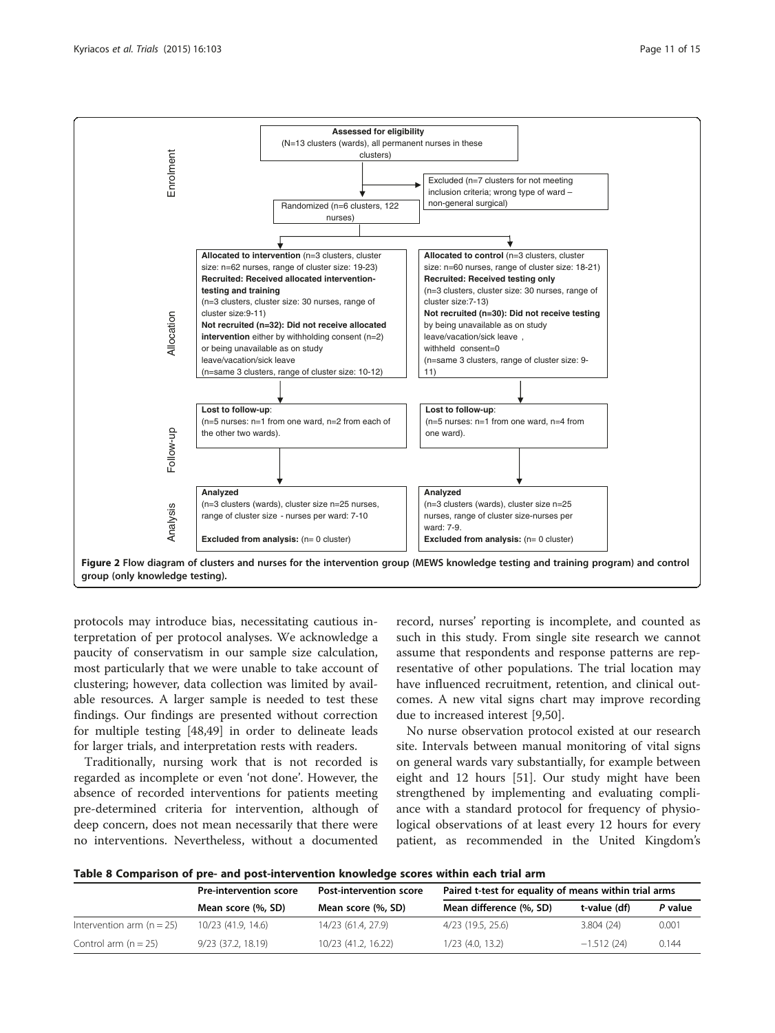<span id="page-10-0"></span>

protocols may introduce bias, necessitating cautious interpretation of per protocol analyses. We acknowledge a paucity of conservatism in our sample size calculation, most particularly that we were unable to take account of clustering; however, data collection was limited by available resources. A larger sample is needed to test these findings. Our findings are presented without correction for multiple testing [[48,49\]](#page-14-0) in order to delineate leads for larger trials, and interpretation rests with readers.

Traditionally, nursing work that is not recorded is regarded as incomplete or even 'not done'. However, the absence of recorded interventions for patients meeting pre-determined criteria for intervention, although of deep concern, does not mean necessarily that there were no interventions. Nevertheless, without a documented

record, nurses' reporting is incomplete, and counted as such in this study. From single site research we cannot assume that respondents and response patterns are representative of other populations. The trial location may have influenced recruitment, retention, and clinical outcomes. A new vital signs chart may improve recording due to increased interest [[9,](#page-13-0)[50\]](#page-14-0).

No nurse observation protocol existed at our research site. Intervals between manual monitoring of vital signs on general wards vary substantially, for example between eight and 12 hours [\[51\]](#page-14-0). Our study might have been strengthened by implementing and evaluating compliance with a standard protocol for frequency of physiological observations of at least every 12 hours for every patient, as recommended in the United Kingdom's

|  |  |  |  | Table 8 Comparison of pre- and post-intervention knowledge scores within each trial arm |
|--|--|--|--|-----------------------------------------------------------------------------------------|
|--|--|--|--|-----------------------------------------------------------------------------------------|

|                             | <b>Pre-intervention score</b> | <b>Post-intervention score</b> | Paired t-test for equality of means within trial arms |              |         |
|-----------------------------|-------------------------------|--------------------------------|-------------------------------------------------------|--------------|---------|
|                             | Mean score (%, SD)            | Mean score (%, SD)             | Mean difference (%, SD)                               | t-value (df) | P value |
| Intervention arm $(n = 25)$ | 10/23 (41.9, 14.6)            | 14/23 (61.4, 27.9)             | 4/23 (19.5, 25.6)                                     | 3.804(24)    | 0.001   |
| Control arm $(n = 25)$      | $9/23$ (37.2, 18.19)          | 10/23 (41.2, 16.22)            | 1/23 (4.0, 13.2)                                      | $-1.512(24)$ | 0.144   |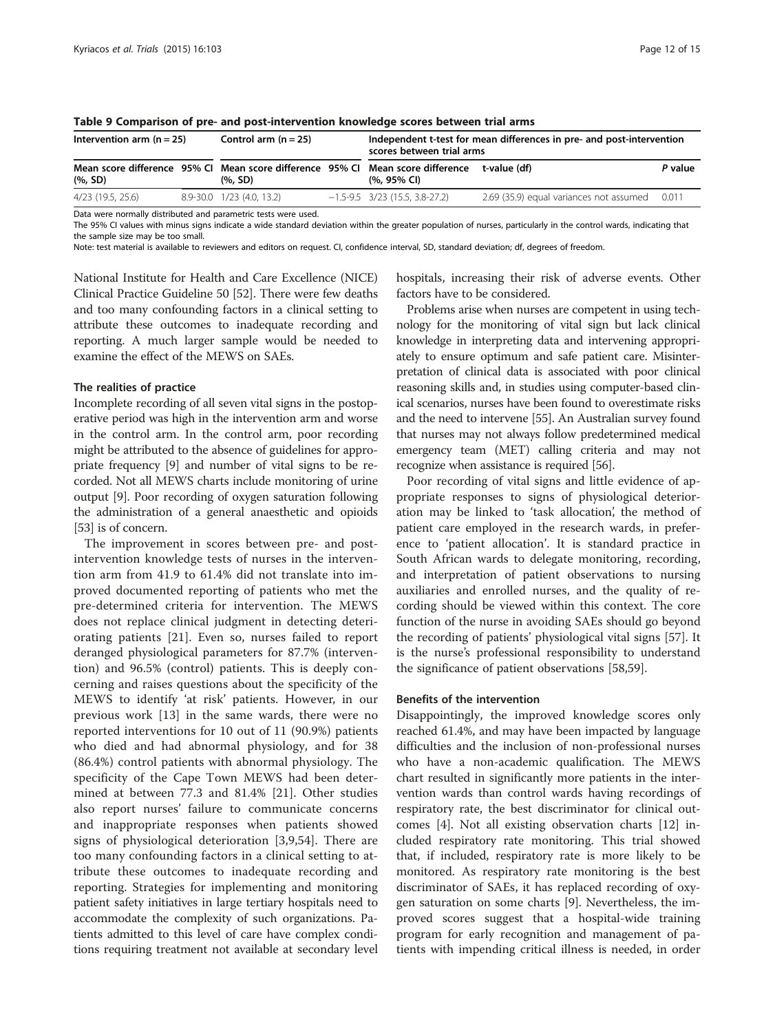| Intervention arm $(n = 25)$ |  | Control arm $(n = 25)$    |  | Independent t-test for mean differences in pre- and post-intervention<br>scores between trial arms |                                               |         |  |
|-----------------------------|--|---------------------------|--|----------------------------------------------------------------------------------------------------|-----------------------------------------------|---------|--|
| $(%$ , SD)                  |  | (%. SD)                   |  | Mean score difference 95% CI Mean score difference 95% CI Mean score difference<br>(%, 95% CI)     | t-value (df)                                  | P value |  |
| 4/23 (19.5, 25.6)           |  | 8.9-30.0 1/23 (4.0, 13.2) |  | $-1.5 - 9.5$ 3/23 (15.5, 3.8-27.2)                                                                 | 2.69 (35.9) equal variances not assumed 0.011 |         |  |

<span id="page-11-0"></span>Table 9 Comparison of pre- and post-intervention knowledge scores between trial arms

Data were normally distributed and parametric tests were used.

The 95% CI values with minus signs indicate a wide standard deviation within the greater population of nurses, particularly in the control wards, indicating that the sample size may be too small.

Note: test material is available to reviewers and editors on request. CI, confidence interval, SD, standard deviation; df, degrees of freedom.

National Institute for Health and Care Excellence (NICE) Clinical Practice Guideline 50 [[52\]](#page-14-0). There were few deaths and too many confounding factors in a clinical setting to attribute these outcomes to inadequate recording and reporting. A much larger sample would be needed to examine the effect of the MEWS on SAEs.

### The realities of practice

Incomplete recording of all seven vital signs in the postoperative period was high in the intervention arm and worse in the control arm. In the control arm, poor recording might be attributed to the absence of guidelines for appropriate frequency [\[9](#page-13-0)] and number of vital signs to be recorded. Not all MEWS charts include monitoring of urine output [[9\]](#page-13-0). Poor recording of oxygen saturation following the administration of a general anaesthetic and opioids [[53](#page-14-0)] is of concern.

The improvement in scores between pre- and postintervention knowledge tests of nurses in the intervention arm from 41.9 to 61.4% did not translate into improved documented reporting of patients who met the pre-determined criteria for intervention. The MEWS does not replace clinical judgment in detecting deteriorating patients [[21\]](#page-13-0). Even so, nurses failed to report deranged physiological parameters for 87.7% (intervention) and 96.5% (control) patients. This is deeply concerning and raises questions about the specificity of the MEWS to identify 'at risk' patients. However, in our previous work [\[13](#page-13-0)] in the same wards, there were no reported interventions for 10 out of 11 (90.9%) patients who died and had abnormal physiology, and for 38 (86.4%) control patients with abnormal physiology. The specificity of the Cape Town MEWS had been determined at between 77.3 and 81.4% [\[21](#page-13-0)]. Other studies also report nurses' failure to communicate concerns and inappropriate responses when patients showed signs of physiological deterioration [\[3](#page-13-0),[9,](#page-13-0)[54\]](#page-14-0). There are too many confounding factors in a clinical setting to attribute these outcomes to inadequate recording and reporting. Strategies for implementing and monitoring patient safety initiatives in large tertiary hospitals need to accommodate the complexity of such organizations. Patients admitted to this level of care have complex conditions requiring treatment not available at secondary level hospitals, increasing their risk of adverse events. Other factors have to be considered.

Problems arise when nurses are competent in using technology for the monitoring of vital sign but lack clinical knowledge in interpreting data and intervening appropriately to ensure optimum and safe patient care. Misinterpretation of clinical data is associated with poor clinical reasoning skills and, in studies using computer-based clinical scenarios, nurses have been found to overestimate risks and the need to intervene [[55](#page-14-0)]. An Australian survey found that nurses may not always follow predetermined medical emergency team (MET) calling criteria and may not recognize when assistance is required [\[56\]](#page-14-0).

Poor recording of vital signs and little evidence of appropriate responses to signs of physiological deterioration may be linked to 'task allocation', the method of patient care employed in the research wards, in preference to 'patient allocation'. It is standard practice in South African wards to delegate monitoring, recording, and interpretation of patient observations to nursing auxiliaries and enrolled nurses, and the quality of recording should be viewed within this context. The core function of the nurse in avoiding SAEs should go beyond the recording of patients' physiological vital signs [[57\]](#page-14-0). It is the nurse's professional responsibility to understand the significance of patient observations [[58](#page-14-0),[59](#page-14-0)].

#### Benefits of the intervention

Disappointingly, the improved knowledge scores only reached 61.4%, and may have been impacted by language difficulties and the inclusion of non-professional nurses who have a non-academic qualification. The MEWS chart resulted in significantly more patients in the intervention wards than control wards having recordings of respiratory rate, the best discriminator for clinical outcomes [[4](#page-13-0)]. Not all existing observation charts [\[12](#page-13-0)] included respiratory rate monitoring. This trial showed that, if included, respiratory rate is more likely to be monitored. As respiratory rate monitoring is the best discriminator of SAEs, it has replaced recording of oxygen saturation on some charts [[9\]](#page-13-0). Nevertheless, the improved scores suggest that a hospital-wide training program for early recognition and management of patients with impending critical illness is needed, in order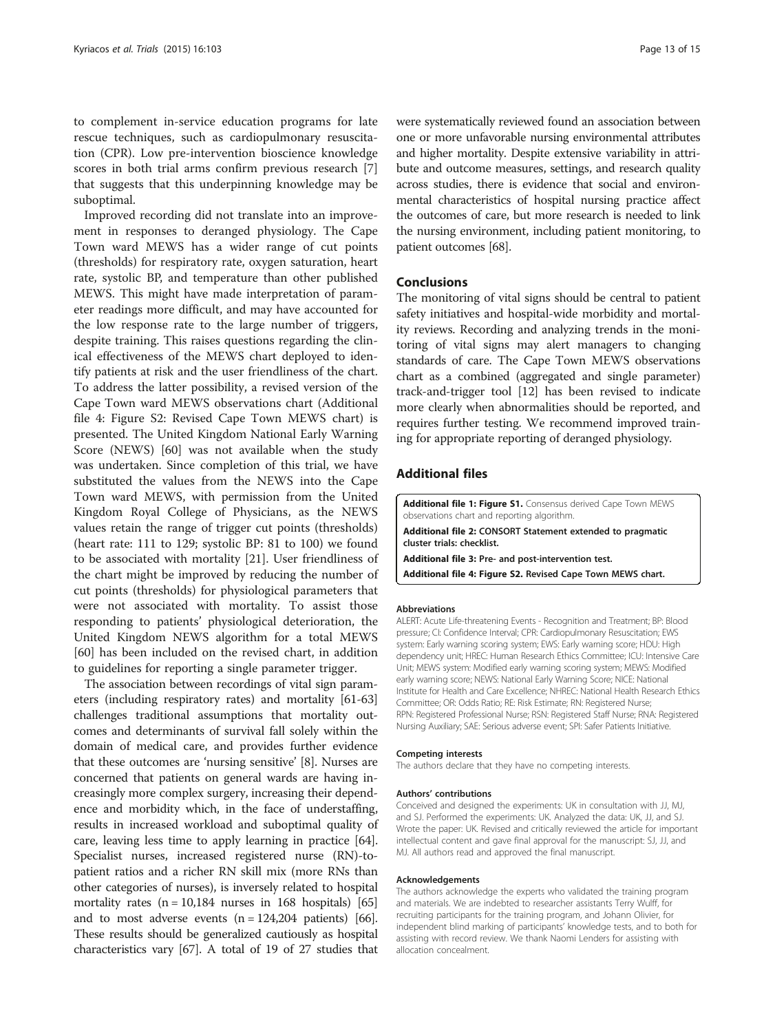<span id="page-12-0"></span>to complement in-service education programs for late rescue techniques, such as cardiopulmonary resuscitation (CPR). Low pre-intervention bioscience knowledge scores in both trial arms confirm previous research [\[7](#page-13-0)] that suggests that this underpinning knowledge may be suboptimal.

Improved recording did not translate into an improvement in responses to deranged physiology. The Cape Town ward MEWS has a wider range of cut points (thresholds) for respiratory rate, oxygen saturation, heart rate, systolic BP, and temperature than other published MEWS. This might have made interpretation of parameter readings more difficult, and may have accounted for the low response rate to the large number of triggers, despite training. This raises questions regarding the clinical effectiveness of the MEWS chart deployed to identify patients at risk and the user friendliness of the chart. To address the latter possibility, a revised version of the Cape Town ward MEWS observations chart (Additional file 4: Figure S2: Revised Cape Town MEWS chart) is presented. The United Kingdom National Early Warning Score (NEWS) [[60\]](#page-14-0) was not available when the study was undertaken. Since completion of this trial, we have substituted the values from the NEWS into the Cape Town ward MEWS, with permission from the United Kingdom Royal College of Physicians, as the NEWS values retain the range of trigger cut points (thresholds) (heart rate: 111 to 129; systolic BP: 81 to 100) we found to be associated with mortality [\[21](#page-13-0)]. User friendliness of the chart might be improved by reducing the number of cut points (thresholds) for physiological parameters that were not associated with mortality. To assist those responding to patients' physiological deterioration, the United Kingdom NEWS algorithm for a total MEWS [[60\]](#page-14-0) has been included on the revised chart, in addition to guidelines for reporting a single parameter trigger.

The association between recordings of vital sign parameters (including respiratory rates) and mortality [[61](#page-14-0)-[63](#page-14-0)] challenges traditional assumptions that mortality outcomes and determinants of survival fall solely within the domain of medical care, and provides further evidence that these outcomes are 'nursing sensitive' [\[8\]](#page-13-0). Nurses are concerned that patients on general wards are having increasingly more complex surgery, increasing their dependence and morbidity which, in the face of understaffing, results in increased workload and suboptimal quality of care, leaving less time to apply learning in practice [[64](#page-14-0)]. Specialist nurses, increased registered nurse (RN)-topatient ratios and a richer RN skill mix (more RNs than other categories of nurses), is inversely related to hospital mortality rates  $(n = 10,184$  nurses in 168 hospitals) [\[65](#page-14-0)] and to most adverse events  $(n = 124,204 \text{ patients})$  [[66](#page-14-0)]. These results should be generalized cautiously as hospital characteristics vary [\[67\]](#page-14-0). A total of 19 of 27 studies that

were systematically reviewed found an association between one or more unfavorable nursing environmental attributes and higher mortality. Despite extensive variability in attribute and outcome measures, settings, and research quality across studies, there is evidence that social and environmental characteristics of hospital nursing practice affect the outcomes of care, but more research is needed to link the nursing environment, including patient monitoring, to patient outcomes [[68](#page-14-0)].

#### Conclusions

The monitoring of vital signs should be central to patient safety initiatives and hospital-wide morbidity and mortality reviews. Recording and analyzing trends in the monitoring of vital signs may alert managers to changing standards of care. The Cape Town MEWS observations chart as a combined (aggregated and single parameter) track-and-trigger tool [\[12\]](#page-13-0) has been revised to indicate more clearly when abnormalities should be reported, and requires further testing. We recommend improved training for appropriate reporting of deranged physiology.

### Additional files

[Additional file 1: Figure S1.](http://www.trialsjournal.com/content/supplementary/s13063-015-0624-2-s1.tiff) Consensus derived Cape Town MEWS observations chart and reporting algorithm.

[Additional file 2:](http://www.trialsjournal.com/content/supplementary/s13063-015-0624-2-s2.docx) CONSORT Statement extended to pragmatic cluster trials: checklist.

[Additional file 3:](http://www.trialsjournal.com/content/supplementary/s13063-015-0624-2-s3.zip) Pre- and post-intervention test.

[Additional file 4: Figure S2.](http://www.trialsjournal.com/content/supplementary/s13063-015-0624-2-s4.pdf) Revised Cape Town MEWS chart.

#### Abbreviations

ALERT: Acute Life-threatening Events - Recognition and Treatment; BP: Blood pressure; CI: Confidence Interval; CPR: Cardiopulmonary Resuscitation; EWS system: Early warning scoring system; EWS: Early warning score; HDU: High dependency unit; HREC: Human Research Ethics Committee; ICU: Intensive Care Unit; MEWS system: Modified early warning scoring system; MEWS: Modified early warning score; NEWS: National Early Warning Score; NICE: National Institute for Health and Care Excellence; NHREC: National Health Research Ethics Committee; OR: Odds Ratio; RE: Risk Estimate; RN: Registered Nurse; RPN: Registered Professional Nurse; RSN: Registered Staff Nurse; RNA: Registered Nursing Auxiliary; SAE: Serious adverse event; SPI: Safer Patients Initiative.

#### Competing interests

The authors declare that they have no competing interests.

#### Authors' contributions

Conceived and designed the experiments: UK in consultation with JJ, MJ, and SJ. Performed the experiments: UK. Analyzed the data: UK, JJ, and SJ. Wrote the paper: UK. Revised and critically reviewed the article for important intellectual content and gave final approval for the manuscript: SJ, JJ, and MJ. All authors read and approved the final manuscript.

#### Acknowledgements

The authors acknowledge the experts who validated the training program and materials. We are indebted to researcher assistants Terry Wulff, for recruiting participants for the training program, and Johann Olivier, for independent blind marking of participants' knowledge tests, and to both for assisting with record review. We thank Naomi Lenders for assisting with allocation concealment.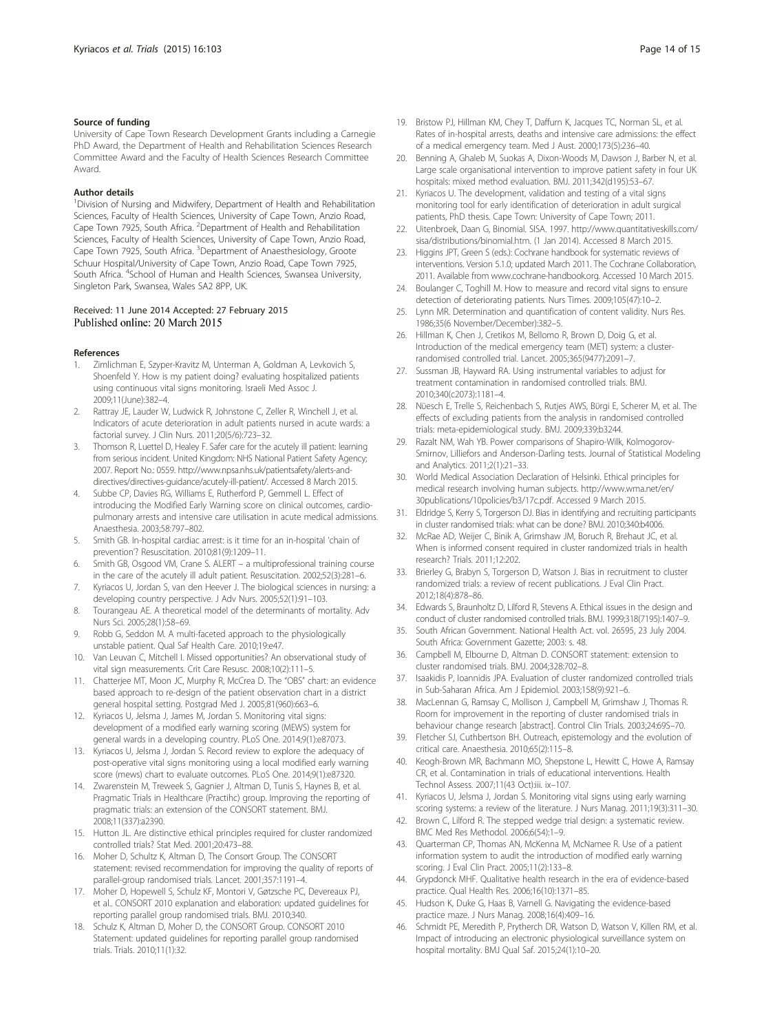#### <span id="page-13-0"></span>Source of funding

University of Cape Town Research Development Grants including a Carnegie PhD Award, the Department of Health and Rehabilitation Sciences Research Committee Award and the Faculty of Health Sciences Research Committee Award.

#### Author details

<sup>1</sup> Division of Nursing and Midwifery, Department of Health and Rehabilitation Sciences, Faculty of Health Sciences, University of Cape Town, Anzio Road, Cape Town 7925, South Africa. <sup>2</sup>Department of Health and Rehabilitation Sciences, Faculty of Health Sciences, University of Cape Town, Anzio Road, Cape Town 7925, South Africa. <sup>3</sup>Department of Anaesthesiology, Groote Schuur Hospital/University of Cape Town, Anzio Road, Cape Town 7925, South Africa. <sup>4</sup>School of Human and Health Sciences, Swansea University, Singleton Park, Swansea, Wales SA2 8PP, UK.

# Received: 11 June 2014 Accepted: 27 February 2015<br>Published online: 20 March 2015

#### References

- Zimlichman E, Szyper-Kravitz M, Unterman A, Goldman A, Levkovich S, Shoenfeld Y. How is my patient doing? evaluating hospitalized patients using continuous vital signs monitoring. Israeli Med Assoc J. 2009;11(June):382–4.
- 2. Rattray JE, Lauder W, Ludwick R, Johnstone C, Zeller R, Winchell J, et al. Indicators of acute deterioration in adult patients nursed in acute wards: a factorial survey. J Clin Nurs. 2011;20(5/6):723–32.
- Thomson R, Luettel D, Healey F. Safer care for the acutely ill patient: learning from serious incident. United Kingdom: NHS National Patient Safety Agency; 2007. Report No.: 0559. [http://www.npsa.nhs.uk/patientsafety/alerts-and](http://www.npsa.nhs.uk/patientsafety/alerts-and-directives/directives-guidance/acutely-ill-patient/)[directives/directives-guidance/acutely-ill-patient/](http://www.npsa.nhs.uk/patientsafety/alerts-and-directives/directives-guidance/acutely-ill-patient/). Accessed 8 March 2015.
- 4. Subbe CP, Davies RG, Williams E, Rutherford P, Gemmell L. Effect of introducing the Modified Early Warning score on clinical outcomes, cardiopulmonary arrests and intensive care utilisation in acute medical admissions. Anaesthesia. 2003;58:797–802.
- 5. Smith GB. In-hospital cardiac arrest: is it time for an in-hospital 'chain of prevention'? Resuscitation. 2010;81(9):1209–11.
- 6. Smith GB, Osgood VM, Crane S. ALERT a multiprofessional training course in the care of the acutely ill adult patient. Resuscitation. 2002;52(3):281–6.
- 7. Kyriacos U, Jordan S, van den Heever J. The biological sciences in nursing: a developing country perspective. J Adv Nurs. 2005;52(1):91–103.
- 8. Tourangeau AE. A theoretical model of the determinants of mortality. Adv Nurs Sci. 2005;28(1):58–69.
- 9. Robb G, Seddon M. A multi-faceted approach to the physiologically unstable patient. Qual Saf Health Care. 2010;19:e47.
- 10. Van Leuvan C, Mitchell I. Missed opportunities? An observational study of vital sign measurements. Crit Care Resusc. 2008;10(2):111–5.
- 11. Chatterjee MT, Moon JC, Murphy R, McCrea D. The "OBS" chart: an evidence based approach to re-design of the patient observation chart in a district general hospital setting. Postgrad Med J. 2005;81(960):663–6.
- 12. Kyriacos U, Jelsma J, James M, Jordan S. Monitoring vital signs: development of a modified early warning scoring (MEWS) system for general wards in a developing country. PLoS One. 2014;9(1):e87073.
- 13. Kyriacos U, Jelsma J, Jordan S. Record review to explore the adequacy of post-operative vital signs monitoring using a local modified early warning score (mews) chart to evaluate outcomes. PLoS One. 2014;9(1):e87320.
- 14. Zwarenstein M, Treweek S, Gagnier J, Altman D, Tunis S, Haynes B, et al. Pragmatic Trials in Healthcare (Practihc) group. Improving the reporting of pragmatic trials: an extension of the CONSORT statement. BMJ. 2008;11(337):a2390.
- 15. Hutton JL. Are distinctive ethical principles required for cluster randomized controlled trials? Stat Med. 2001;20:473–88.
- 16. Moher D, Schultz K, Altman D, The Consort Group. The CONSORT statement: revised recommendation for improving the quality of reports of parallel-group randomised trials. Lancet. 2001;357:1191–4.
- 17. Moher D, Hopewell S, Schulz KF, Montori V, Gøtzsche PC, Devereaux PJ, et al.. CONSORT 2010 explanation and elaboration: updated guidelines for reporting parallel group randomised trials. BMJ. 2010;340.
- 18. Schulz K, Altman D, Moher D, the CONSORT Group. CONSORT 2010 Statement: updated guidelines for reporting parallel group randomised trials. Trials. 2010;11(1):32.
- 19. Bristow PJ, Hillman KM, Chey T, Daffurn K, Jacques TC, Norman SL, et al. Rates of in-hospital arrests, deaths and intensive care admissions: the effect of a medical emergency team. Med J Aust. 2000;173(5):236–40.
- 20. Benning A, Ghaleb M, Suokas A, Dixon-Woods M, Dawson J, Barber N, et al. Large scale organisational intervention to improve patient safety in four UK hospitals: mixed method evaluation. BMJ. 2011;342(d195):53–67.
- 21. Kyriacos U. The development, validation and testing of a vital signs monitoring tool for early identification of deterioration in adult surgical patients, PhD thesis. Cape Town: University of Cape Town; 2011.
- 22. Uitenbroek, Daan G, Binomial. SISA. 1997. [http://www.quantitativeskills.com/](http://www.quantitativeskills.com/sisa/distributions/binomial.htm) [sisa/distributions/binomial.htm](http://www.quantitativeskills.com/sisa/distributions/binomial.htm). (1 Jan 2014). Accessed 8 March 2015.
- 23. Higgins JPT, Green S (eds.): Cochrane handbook for systematic reviews of interventions. Version 5.1.0; updated March 2011. The Cochrane Collaboration, 2011. Available from [www.cochrane-handbook.org](http://www.cochrane-handbook.org/). Accessed 10 March 2015.
- 24. Boulanger C, Toghill M. How to measure and record vital signs to ensure detection of deteriorating patients. Nurs Times. 2009;105(47):10–2.
- 25. Lynn MR. Determination and quantification of content validity. Nurs Res. 1986;35(6 November/December):382–5.
- 26. Hillman K, Chen J, Cretikos M, Bellomo R, Brown D, Doig G, et al. Introduction of the medical emergency team (MET) system: a clusterrandomised controlled trial. Lancet. 2005;365(9477):2091–7.
- Sussman JB, Hayward RA. Using instrumental variables to adjust for treatment contamination in randomised controlled trials. BMJ. 2010;340(c2073):1181–4.
- 28. Nϋesch E, Trelle S, Reichenbach S, Rutjes AWS, Bϋrgi E, Scherer M, et al. The effects of excluding patients from the analysis in randomised controlled trials: meta-epidemiological study. BMJ. 2009;339:b3244.
- 29. Razalt NM, Wah YB. Power comparisons of Shapiro-Wilk, Kolmogorov-Smirnov, Lilliefors and Anderson-Darling tests. Journal of Statistical Modeling and Analytics. 2011;2(1):21–33.
- 30. World Medical Association Declaration of Helsinki. Ethical principles for medical research involving human subjects. [http://www.wma.net/en/](http://www.wma.net/en/30publications/10policies/b3/17c.pdf) [30publications/10policies/b3/17c.pdf](http://www.wma.net/en/30publications/10policies/b3/17c.pdf). Accessed 9 March 2015.
- 31. Eldridge S, Kerry S, Torgerson DJ. Bias in identifying and recruiting participants in cluster randomised trials: what can be done? BMJ. 2010;340:b4006.
- 32. McRae AD, Weijer C, Binik A, Grimshaw JM, Boruch R, Brehaut JC, et al. When is informed consent required in cluster randomized trials in health research? Trials. 2011;12:202.
- 33. Brierley G, Brabyn S, Torgerson D, Watson J. Bias in recruitment to cluster randomized trials: a review of recent publications. J Eval Clin Pract. 2012;18(4):878–86.
- 34. Edwards S, Braunholtz D, Lilford R, Stevens A. Ethical issues in the design and conduct of cluster randomised controlled trials. BMJ. 1999;318(7195):1407–9.
- 35. South African Government. National Health Act. vol. 26595, 23 July 2004. South Africa: Government Gazette; 2003: s. 48.
- 36. Campbell M, Elbourne D, Altman D. CONSORT statement: extension to cluster randomised trials. BMJ. 2004;328:702–8.
- 37. Isaakidis P, Ioannidis JPA. Evaluation of cluster randomized controlled trials in Sub-Saharan Africa. Am J Epidemiol. 2003;158(9):921–6.
- 38. MacLennan G, Ramsay C, Mollison J, Campbell M, Grimshaw J, Thomas R. Room for improvement in the reporting of cluster randomised trials in behaviour change research [abstract]. Control Clin Trials. 2003;24:69S–70.
- 39. Fletcher SJ, Cuthbertson BH. Outreach, epistemology and the evolution of critical care. Anaesthesia. 2010;65(2):115–8.
- 40. Keogh-Brown MR, Bachmann MO, Shepstone L, Hewitt C, Howe A, Ramsay CR, et al. Contamination in trials of educational interventions. Health Technol Assess. 2007;11(43 Oct):iii. ix–107.
- 41. Kyriacos U, Jelsma J, Jordan S. Monitoring vital signs using early warning scoring systems: a review of the literature. J Nurs Manag. 2011;19(3):311–30.
- 42. Brown C, Lilford R. The stepped wedge trial design: a systematic review. BMC Med Res Methodol. 2006;6(54):1–9.
- 43. Quarterman CP, Thomas AN, McKenna M, McNamee R. Use of a patient information system to audit the introduction of modified early warning scoring. J Eval Clin Pract. 2005;11(2):133–8.
- 44. Grypdonck MHF. Qualitative health research in the era of evidence-based practice. Qual Health Res. 2006;16(10):1371–85.
- 45. Hudson K, Duke G, Haas B, Varnell G. Navigating the evidence-based practice maze. J Nurs Manag. 2008;16(4):409–16.
- 46. Schmidt PE, Meredith P, Prytherch DR, Watson D, Watson V, Killen RM, et al. Impact of introducing an electronic physiological surveillance system on hospital mortality. BMJ Qual Saf. 2015;24(1):10–20.